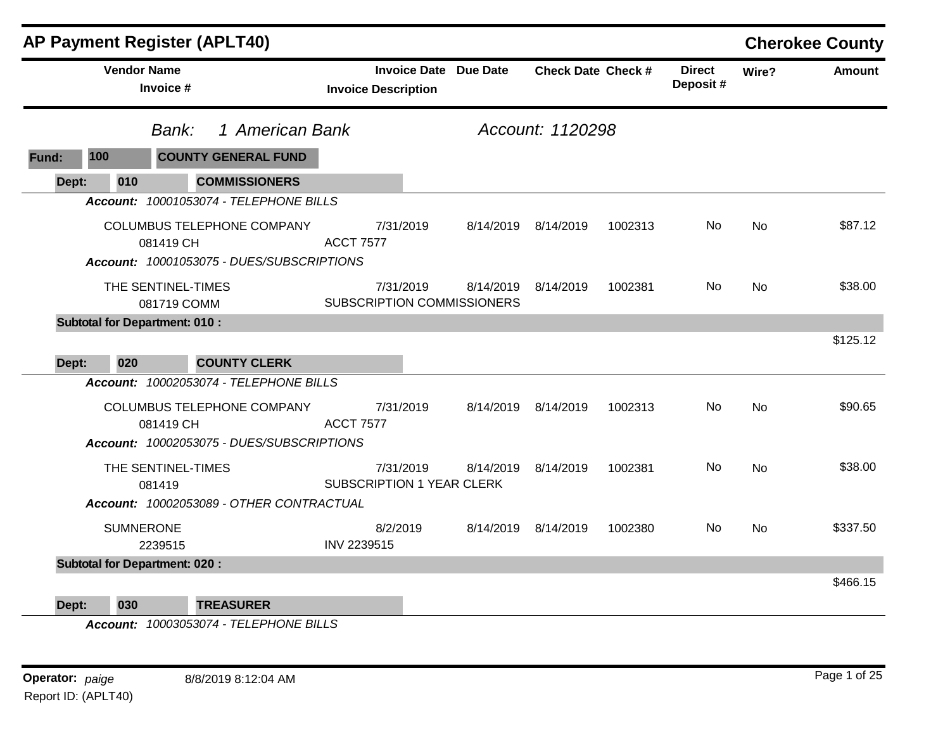|       |                                      |                                   | <b>AP Payment Register (APLT40)</b>                                     |                            |                                                             |                     |                           |                           |       | <b>Cherokee County</b> |
|-------|--------------------------------------|-----------------------------------|-------------------------------------------------------------------------|----------------------------|-------------------------------------------------------------|---------------------|---------------------------|---------------------------|-------|------------------------|
|       |                                      | <b>Vendor Name</b><br>Invoice #   |                                                                         | <b>Invoice Description</b> | <b>Invoice Date Due Date</b>                                |                     | <b>Check Date Check #</b> | <b>Direct</b><br>Deposit# | Wire? | Amount                 |
|       |                                      | Bank:                             | 1 American Bank                                                         |                            |                                                             | Account: 1120298    |                           |                           |       |                        |
| Fund: | 100                                  |                                   | <b>COUNTY GENERAL FUND</b>                                              |                            |                                                             |                     |                           |                           |       |                        |
| Dept: | 010                                  |                                   | <b>COMMISSIONERS</b>                                                    |                            |                                                             |                     |                           |                           |       |                        |
|       |                                      |                                   | Account: 10001053074 - TELEPHONE BILLS                                  |                            |                                                             |                     |                           |                           |       |                        |
|       |                                      | 081419 CH                         | COLUMBUS TELEPHONE COMPANY<br>Account: 10001053075 - DUES/SUBSCRIPTIONS | <b>ACCT 7577</b>           | 7/31/2019                                                   | 8/14/2019 8/14/2019 | 1002313                   | No                        | No    | \$87.12                |
|       |                                      | THE SENTINEL-TIMES<br>081719 COMM |                                                                         |                            | 7/31/2019<br>8/14/2019<br><b>SUBSCRIPTION COMMISSIONERS</b> | 8/14/2019           | 1002381                   | No.                       | No    | \$38.00                |
|       | <b>Subtotal for Department: 010:</b> |                                   |                                                                         |                            |                                                             |                     |                           |                           |       |                        |
| Dept: | 020                                  |                                   | <b>COUNTY CLERK</b>                                                     |                            |                                                             |                     |                           |                           |       | \$125.12               |
|       |                                      |                                   | Account: 10002053074 - TELEPHONE BILLS                                  |                            |                                                             |                     |                           |                           |       |                        |
|       |                                      | 081419 CH                         | COLUMBUS TELEPHONE COMPANY<br>Account: 10002053075 - DUES/SUBSCRIPTIONS | <b>ACCT 7577</b>           | 7/31/2019                                                   | 8/14/2019 8/14/2019 | 1002313                   | No.                       | No.   | \$90.65                |
|       |                                      | THE SENTINEL-TIMES<br>081419      | Account: 10002053089 - OTHER CONTRACTUAL                                |                            | 7/31/2019<br>8/14/2019<br>SUBSCRIPTION 1 YEAR CLERK         | 8/14/2019           | 1002381                   | No.                       | No    | \$38.00                |
|       |                                      | <b>SUMNERONE</b><br>2239515       |                                                                         | 8/2/2019<br>INV 2239515    |                                                             | 8/14/2019 8/14/2019 | 1002380                   | No.                       | No    | \$337.50               |
|       | <b>Subtotal for Department: 020:</b> |                                   |                                                                         |                            |                                                             |                     |                           |                           |       |                        |
| Dept: | 030                                  |                                   | <b>TREASURER</b><br>$A_{222}$                                           |                            |                                                             |                     |                           |                           |       | \$466.15               |

*Account: 10003053074 - TELEPHONE BILLS*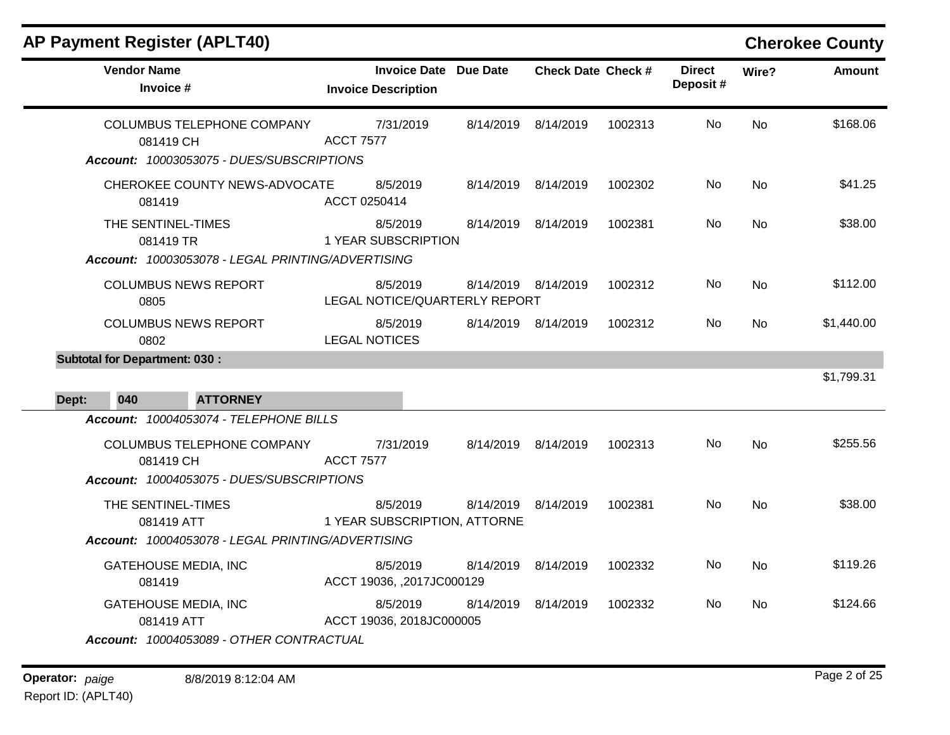| <b>Vendor Name</b><br>Invoice #                                                                                                | <b>Invoice Date</b> Due Date<br><b>Invoice Description</b> |           | <b>Check Date Check #</b> |         | <b>Direct</b><br>Deposit# | Wire?          | <b>Amount</b> |
|--------------------------------------------------------------------------------------------------------------------------------|------------------------------------------------------------|-----------|---------------------------|---------|---------------------------|----------------|---------------|
| COLUMBUS TELEPHONE COMPANY<br>081419 CH<br>Account: 10003053075 - DUES/SUBSCRIPTIONS                                           | 7/31/2019<br><b>ACCT 7577</b>                              | 8/14/2019 | 8/14/2019                 | 1002313 | No.                       | N <sub>o</sub> | \$168.06      |
| CHEROKEE COUNTY NEWS-ADVOCATE<br>081419                                                                                        | 8/5/2019<br>ACCT 0250414                                   |           | 8/14/2019 8/14/2019       | 1002302 | No.                       | <b>No</b>      | \$41.25       |
| THE SENTINEL-TIMES<br>081419 TR<br>Account: 10003053078 - LEGAL PRINTING/ADVERTISING                                           | 8/5/2019<br>1 YEAR SUBSCRIPTION                            | 8/14/2019 | 8/14/2019                 | 1002381 | No                        | <b>No</b>      | \$38.00       |
| <b>COLUMBUS NEWS REPORT</b><br>0805                                                                                            | 8/5/2019<br>LEGAL NOTICE/QUARTERLY REPORT                  |           | 8/14/2019 8/14/2019       | 1002312 | No.                       | No             | \$112.00      |
| <b>COLUMBUS NEWS REPORT</b><br>0802                                                                                            | 8/5/2019<br><b>LEGAL NOTICES</b>                           | 8/14/2019 | 8/14/2019                 | 1002312 | No.                       | N <sub>o</sub> | \$1,440.00    |
| <b>Subtotal for Department: 030:</b><br>040<br><b>ATTORNEY</b><br>Dept:                                                        |                                                            |           |                           |         |                           |                | \$1,799.31    |
| Account: 10004053074 - TELEPHONE BILLS<br>COLUMBUS TELEPHONE COMPANY<br>081419 CH<br>Account: 10004053075 - DUES/SUBSCRIPTIONS | 7/31/2019<br><b>ACCT 7577</b>                              | 8/14/2019 | 8/14/2019                 | 1002313 | No.                       | <b>No</b>      | \$255.56      |
| THE SENTINEL-TIMES<br>081419 ATT<br>Account: 10004053078 - LEGAL PRINTING/ADVERTISING                                          | 8/5/2019<br>1 YEAR SUBSCRIPTION, ATTORNE                   | 8/14/2019 | 8/14/2019                 | 1002381 | No                        | No             | \$38.00       |
| <b>GATEHOUSE MEDIA, INC</b><br>081419                                                                                          | 8/5/2019<br>ACCT 19036, ,2017JC000129                      | 8/14/2019 | 8/14/2019                 | 1002332 | No                        | <b>No</b>      | \$119.26      |
| <b>GATEHOUSE MEDIA, INC</b><br>081419 ATT<br>Account: 10004053089 - OTHER CONTRACTUAL                                          | 8/5/2019<br>ACCT 19036, 2018JC000005                       | 8/14/2019 | 8/14/2019                 | 1002332 | No.                       | <b>No</b>      | \$124.66      |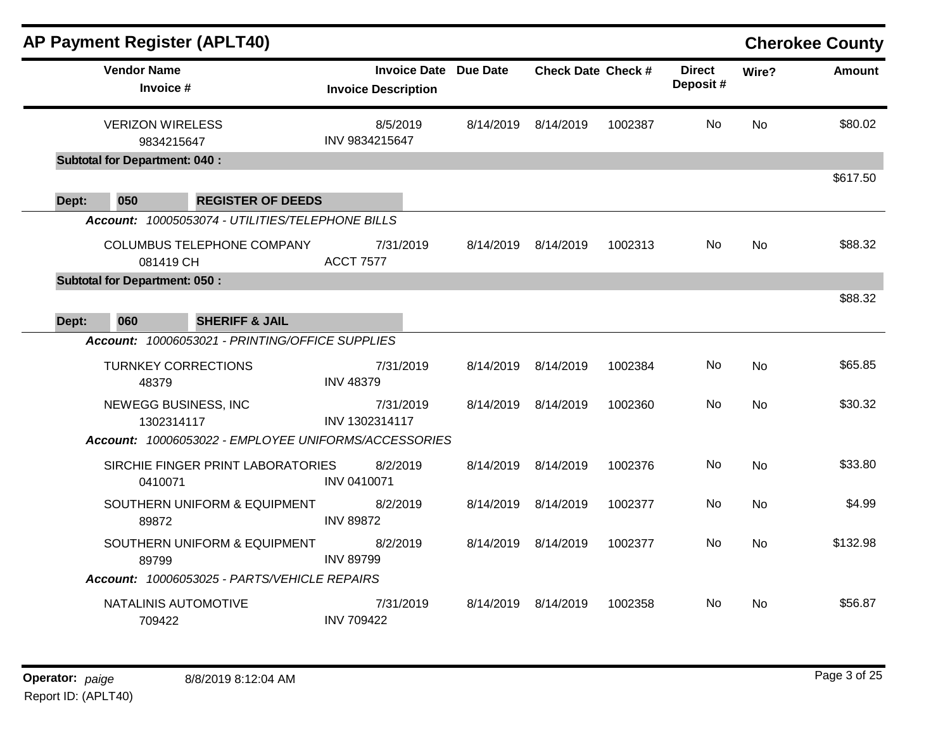|       |                                       | <b>AP Payment Register (APLT40)</b>                  |                                                     |           |                           |         |                           |           | <b>Cherokee County</b> |
|-------|---------------------------------------|------------------------------------------------------|-----------------------------------------------------|-----------|---------------------------|---------|---------------------------|-----------|------------------------|
|       | <b>Vendor Name</b><br>Invoice #       |                                                      | Invoice Date Due Date<br><b>Invoice Description</b> |           | <b>Check Date Check #</b> |         | <b>Direct</b><br>Deposit# | Wire?     | <b>Amount</b>          |
|       | <b>VERIZON WIRELESS</b><br>9834215647 |                                                      | 8/5/2019<br>INV 9834215647                          | 8/14/2019 | 8/14/2019                 | 1002387 | No                        | <b>No</b> | \$80.02                |
|       | <b>Subtotal for Department: 040:</b>  |                                                      |                                                     |           |                           |         |                           |           |                        |
| Dept: | 050                                   | <b>REGISTER OF DEEDS</b>                             |                                                     |           |                           |         |                           |           | \$617.50               |
|       |                                       | Account: 10005053074 - UTILITIES/TELEPHONE BILLS     |                                                     |           |                           |         |                           |           |                        |
|       | 081419 CH                             | COLUMBUS TELEPHONE COMPANY                           | 7/31/2019<br><b>ACCT 7577</b>                       |           | 8/14/2019 8/14/2019       | 1002313 | No.                       | <b>No</b> | \$88.32                |
|       | <b>Subtotal for Department: 050:</b>  |                                                      |                                                     |           |                           |         |                           |           | \$88.32                |
| Dept: | 060                                   | <b>SHERIFF &amp; JAIL</b>                            |                                                     |           |                           |         |                           |           |                        |
|       |                                       | Account: 10006053021 - PRINTING/OFFICE SUPPLIES      |                                                     |           |                           |         |                           |           |                        |
|       | <b>TURNKEY CORRECTIONS</b><br>48379   |                                                      | 7/31/2019<br><b>INV 48379</b>                       |           | 8/14/2019 8/14/2019       | 1002384 | No.                       | No        | \$65.85                |
|       | NEWEGG BUSINESS, INC<br>1302314117    |                                                      | 7/31/2019<br>INV 1302314117                         |           | 8/14/2019 8/14/2019       | 1002360 | No.                       | <b>No</b> | \$30.32                |
|       |                                       | Account: 10006053022 - EMPLOYEE UNIFORMS/ACCESSORIES |                                                     |           |                           |         |                           |           |                        |
|       | 0410071                               | SIRCHIE FINGER PRINT LABORATORIES                    | 8/2/2019<br>INV 0410071                             | 8/14/2019 | 8/14/2019                 | 1002376 | No                        | <b>No</b> | \$33.80                |
|       | 89872                                 | SOUTHERN UNIFORM & EQUIPMENT                         | 8/2/2019<br><b>INV 89872</b>                        | 8/14/2019 | 8/14/2019                 | 1002377 | No.                       | <b>No</b> | \$4.99                 |
|       | 89799                                 | SOUTHERN UNIFORM & EQUIPMENT                         | 8/2/2019<br><b>INV 89799</b>                        |           | 8/14/2019 8/14/2019       | 1002377 | No                        | <b>No</b> | \$132.98               |
|       |                                       | Account: 10006053025 - PARTS/VEHICLE REPAIRS         |                                                     |           |                           |         |                           |           |                        |
|       | NATALINIS AUTOMOTIVE<br>709422        |                                                      | 7/31/2019<br><b>INV 709422</b>                      |           | 8/14/2019 8/14/2019       | 1002358 | No                        | No.       | \$56.87                |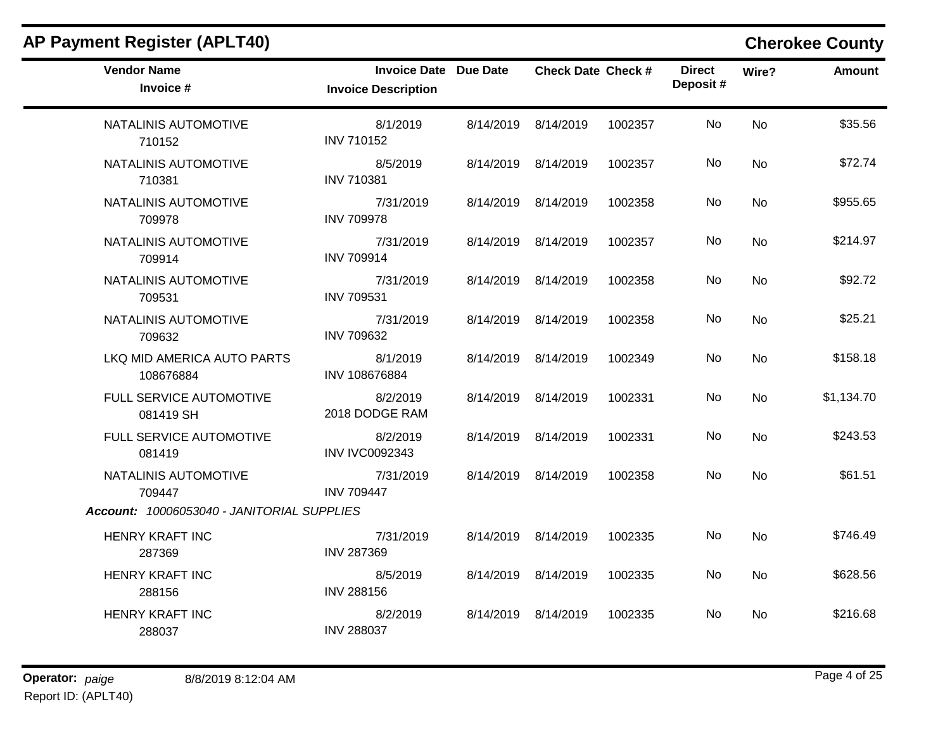| <b>Vendor Name</b><br>Invoice #            | <b>Invoice Date Due Date</b><br><b>Invoice Description</b> | <b>Check Date Check #</b> |         | <b>Direct</b><br>Deposit# | Wire?          | Amount     |
|--------------------------------------------|------------------------------------------------------------|---------------------------|---------|---------------------------|----------------|------------|
| NATALINIS AUTOMOTIVE<br>710152             | 8/1/2019<br><b>INV 710152</b>                              | 8/14/2019 8/14/2019       | 1002357 | No                        | <b>No</b>      | \$35.56    |
| NATALINIS AUTOMOTIVE<br>710381             | 8/5/2019<br><b>INV 710381</b>                              | 8/14/2019 8/14/2019       | 1002357 | No.                       | No.            | \$72.74    |
| NATALINIS AUTOMOTIVE<br>709978             | 7/31/2019<br><b>INV 709978</b>                             | 8/14/2019 8/14/2019       | 1002358 | No                        | No             | \$955.65   |
| NATALINIS AUTOMOTIVE<br>709914             | 7/31/2019<br><b>INV 709914</b>                             | 8/14/2019 8/14/2019       | 1002357 | No                        | N <sub>o</sub> | \$214.97   |
| NATALINIS AUTOMOTIVE<br>709531             | 7/31/2019<br><b>INV 709531</b>                             | 8/14/2019 8/14/2019       | 1002358 | No.                       | No             | \$92.72    |
| NATALINIS AUTOMOTIVE<br>709632             | 7/31/2019<br><b>INV 709632</b>                             | 8/14/2019 8/14/2019       | 1002358 | No.                       | No.            | \$25.21    |
| LKQ MID AMERICA AUTO PARTS<br>108676884    | 8/1/2019<br>INV 108676884                                  | 8/14/2019 8/14/2019       | 1002349 | <b>No</b>                 | No             | \$158.18   |
| FULL SERVICE AUTOMOTIVE<br>081419 SH       | 8/2/2019<br>2018 DODGE RAM                                 | 8/14/2019 8/14/2019       | 1002331 | No.                       | No.            | \$1,134.70 |
| FULL SERVICE AUTOMOTIVE<br>081419          | 8/2/2019<br><b>INV IVC0092343</b>                          | 8/14/2019 8/14/2019       | 1002331 | No                        | <b>No</b>      | \$243.53   |
| NATALINIS AUTOMOTIVE<br>709447             | 7/31/2019<br><b>INV 709447</b>                             | 8/14/2019 8/14/2019       | 1002358 | No.                       | <b>No</b>      | \$61.51    |
| Account: 10006053040 - JANITORIAL SUPPLIES |                                                            |                           |         |                           |                |            |
| <b>HENRY KRAFT INC</b><br>287369           | 7/31/2019<br><b>INV 287369</b>                             | 8/14/2019 8/14/2019       | 1002335 | No                        | No             | \$746.49   |
| <b>HENRY KRAFT INC</b><br>288156           | 8/5/2019<br><b>INV 288156</b>                              | 8/14/2019 8/14/2019       | 1002335 | No.                       | No             | \$628.56   |
| <b>HENRY KRAFT INC</b><br>288037           | 8/2/2019<br><b>INV 288037</b>                              | 8/14/2019 8/14/2019       | 1002335 | No.                       | No.            | \$216.68   |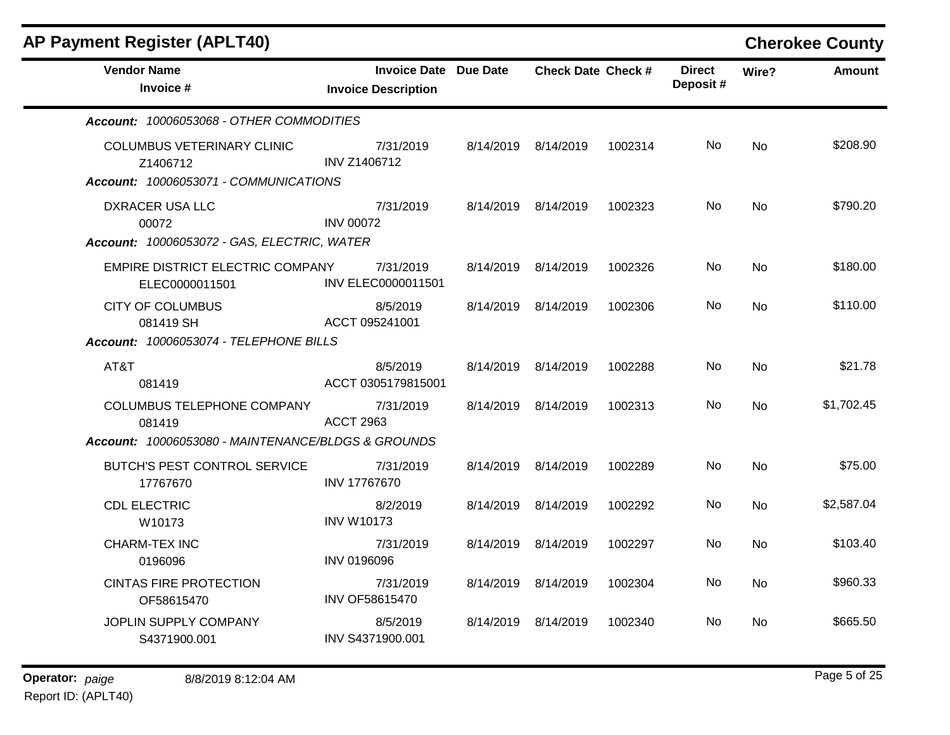| <b>AP Payment Register (APLT40)</b>                                                    |                                                            |           |                           |         |                           |           | <b>Cherokee County</b> |
|----------------------------------------------------------------------------------------|------------------------------------------------------------|-----------|---------------------------|---------|---------------------------|-----------|------------------------|
| <b>Vendor Name</b><br>Invoice #                                                        | <b>Invoice Date Due Date</b><br><b>Invoice Description</b> |           | <b>Check Date Check #</b> |         | <b>Direct</b><br>Deposit# | Wire?     | <b>Amount</b>          |
| Account: 10006053068 - OTHER COMMODITIES                                               |                                                            |           |                           |         |                           |           |                        |
| <b>COLUMBUS VETERINARY CLINIC</b><br>Z1406712<br>Account: 10006053071 - COMMUNICATIONS | 7/31/2019<br><b>INV Z1406712</b>                           |           | 8/14/2019 8/14/2019       | 1002314 | No.                       | <b>No</b> | \$208.90               |
| DXRACER USA LLC<br>00072<br>Account: 10006053072 - GAS, ELECTRIC, WATER                | 7/31/2019<br><b>INV 00072</b>                              |           | 8/14/2019 8/14/2019       | 1002323 | No                        | <b>No</b> | \$790.20               |
| EMPIRE DISTRICT ELECTRIC COMPANY<br>ELEC0000011501                                     | 7/31/2019<br>INV ELEC0000011501                            |           | 8/14/2019 8/14/2019       | 1002326 | No                        | <b>No</b> | \$180.00               |
| <b>CITY OF COLUMBUS</b><br>081419 SH                                                   | 8/5/2019<br>ACCT 095241001                                 |           | 8/14/2019 8/14/2019       | 1002306 | No                        | <b>No</b> | \$110.00               |
| Account: 10006053074 - TELEPHONE BILLS                                                 |                                                            |           |                           |         |                           |           |                        |
| AT&T<br>081419                                                                         | 8/5/2019<br>ACCT 0305179815001                             |           | 8/14/2019 8/14/2019       | 1002288 | No                        | <b>No</b> | \$21.78                |
| COLUMBUS TELEPHONE COMPANY<br>081419                                                   | 7/31/2019<br><b>ACCT 2963</b>                              |           | 8/14/2019 8/14/2019       | 1002313 | No.                       | No        | \$1,702.45             |
| Account: 10006053080 - MAINTENANCE/BLDGS & GROUNDS                                     |                                                            |           |                           |         |                           |           |                        |
| BUTCH'S PEST CONTROL SERVICE<br>17767670                                               | 7/31/2019<br><b>INV 17767670</b>                           | 8/14/2019 | 8/14/2019                 | 1002289 | No.                       | No        | \$75.00                |
| <b>CDL ELECTRIC</b><br>W10173                                                          | 8/2/2019<br><b>INV W10173</b>                              |           | 8/14/2019 8/14/2019       | 1002292 | No.                       | <b>No</b> | \$2,587.04             |
| <b>CHARM-TEX INC</b><br>0196096                                                        | 7/31/2019<br><b>INV 0196096</b>                            |           | 8/14/2019 8/14/2019       | 1002297 | No                        | No        | \$103.40               |
| <b>CINTAS FIRE PROTECTION</b><br>OF58615470                                            | 7/31/2019<br>INV OF58615470                                |           | 8/14/2019 8/14/2019       | 1002304 | No                        | <b>No</b> | \$960.33               |
| JOPLIN SUPPLY COMPANY<br>S4371900.001                                                  | 8/5/2019<br>INV S4371900.001                               |           | 8/14/2019 8/14/2019       | 1002340 | No                        | <b>No</b> | \$665.50               |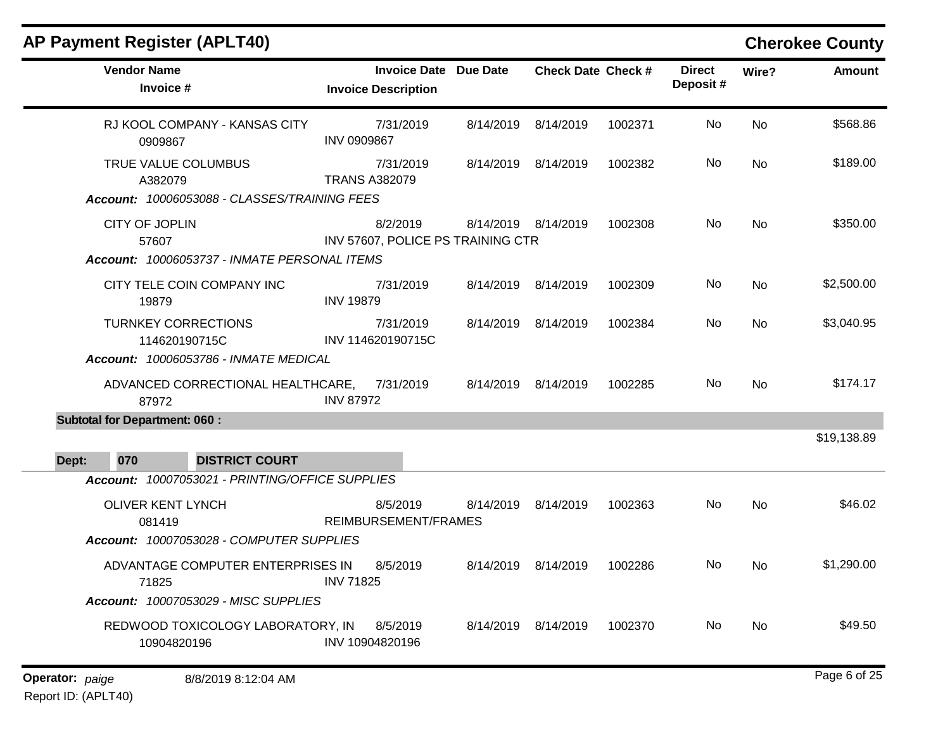| <b>AP Payment Register (APLT40)</b>                                                 |                                                            |           |                           |         |                           |           | <b>Cherokee County</b> |
|-------------------------------------------------------------------------------------|------------------------------------------------------------|-----------|---------------------------|---------|---------------------------|-----------|------------------------|
| <b>Vendor Name</b><br>Invoice #                                                     | <b>Invoice Date Due Date</b><br><b>Invoice Description</b> |           | <b>Check Date Check #</b> |         | <b>Direct</b><br>Deposit# | Wire?     | <b>Amount</b>          |
| RJ KOOL COMPANY - KANSAS CITY<br>0909867                                            | 7/31/2019<br><b>INV 0909867</b>                            | 8/14/2019 | 8/14/2019                 | 1002371 | No                        | <b>No</b> | \$568.86               |
| TRUE VALUE COLUMBUS<br>A382079<br>Account: 10006053088 - CLASSES/TRAINING FEES      | 7/31/2019<br><b>TRANS A382079</b>                          | 8/14/2019 | 8/14/2019                 | 1002382 | No                        | No        | \$189.00               |
| CITY OF JOPLIN<br>57607<br>Account: 10006053737 - INMATE PERSONAL ITEMS             | 8/2/2019<br>INV 57607, POLICE PS TRAINING CTR              |           | 8/14/2019 8/14/2019       | 1002308 | No                        | No        | \$350.00               |
| CITY TELE COIN COMPANY INC<br>19879                                                 | 7/31/2019<br><b>INV 19879</b>                              |           | 8/14/2019 8/14/2019       | 1002309 | No                        | No        | \$2,500.00             |
| <b>TURNKEY CORRECTIONS</b><br>114620190715C                                         | 7/31/2019<br>INV 114620190715C                             |           | 8/14/2019 8/14/2019       | 1002384 | No                        | No        | \$3,040.95             |
| Account: 10006053786 - INMATE MEDICAL<br>ADVANCED CORRECTIONAL HEALTHCARE,<br>87972 | 7/31/2019<br><b>INV 87972</b>                              |           | 8/14/2019 8/14/2019       | 1002285 | No                        | No        | \$174.17               |
| <b>Subtotal for Department: 060:</b><br><b>DISTRICT COURT</b><br>070<br>Dept:       |                                                            |           |                           |         |                           |           | \$19,138.89            |
| Account: 10007053021 - PRINTING/OFFICE SUPPLIES                                     |                                                            |           |                           |         |                           |           |                        |
| <b>OLIVER KENT LYNCH</b><br>081419<br>Account: 10007053028 - COMPUTER SUPPLIES      | 8/5/2019<br>REIMBURSEMENT/FRAMES                           | 8/14/2019 | 8/14/2019                 | 1002363 | No                        | No        | \$46.02                |
| ADVANTAGE COMPUTER ENTERPRISES IN<br>71825                                          | 8/5/2019<br><b>INV 71825</b>                               | 8/14/2019 | 8/14/2019                 | 1002286 | No.                       | No.       | \$1,290.00             |
| Account: 10007053029 - MISC SUPPLIES                                                |                                                            |           |                           |         |                           |           |                        |
| REDWOOD TOXICOLOGY LABORATORY, IN<br>10904820196                                    | 8/5/2019<br>INV 10904820196                                |           | 8/14/2019 8/14/2019       | 1002370 | No                        | No        | \$49.50                |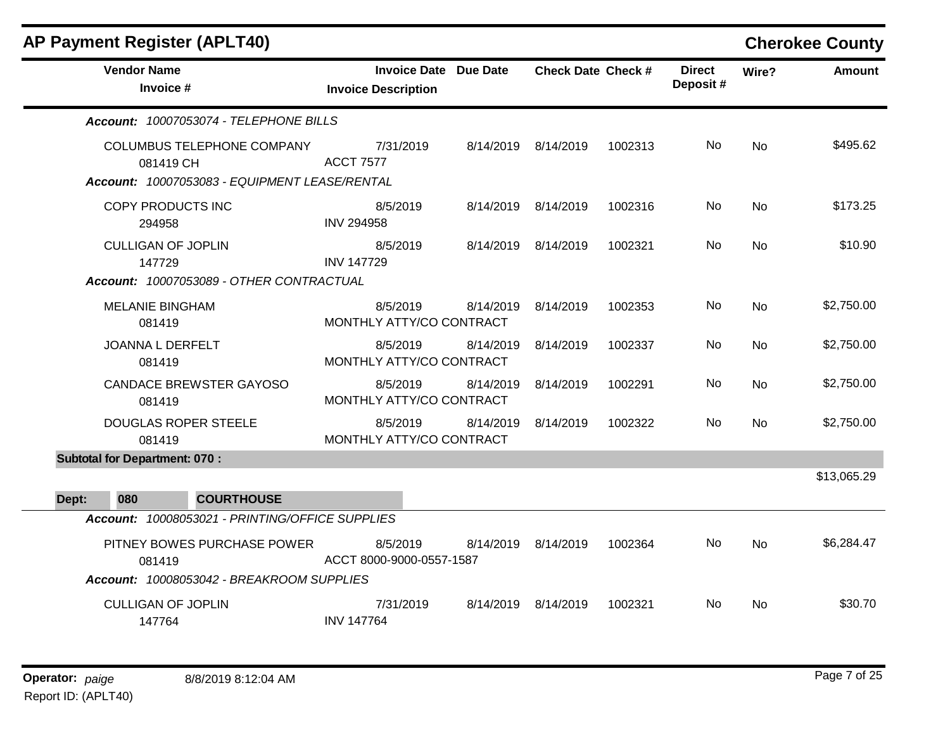|       | <b>AP Payment Register (APLT40)</b>             |                                      |                                       |                           |         |                           |           | <b>Cherokee County</b> |
|-------|-------------------------------------------------|--------------------------------------|---------------------------------------|---------------------------|---------|---------------------------|-----------|------------------------|
|       | <b>Vendor Name</b><br>Invoice #                 | <b>Invoice Description</b>           | <b>Invoice Date Due Date</b>          | <b>Check Date Check #</b> |         | <b>Direct</b><br>Deposit# | Wire?     | <b>Amount</b>          |
|       | Account: 10007053074 - TELEPHONE BILLS          |                                      |                                       |                           |         |                           |           |                        |
|       | <b>COLUMBUS TELEPHONE COMPANY</b><br>081419 CH  | 7/31/2019<br><b>ACCT 7577</b>        |                                       | 8/14/2019 8/14/2019       | 1002313 | No                        | <b>No</b> | \$495.62               |
|       | Account: 10007053083 - EQUIPMENT LEASE/RENTAL   |                                      |                                       |                           |         |                           |           |                        |
|       | COPY PRODUCTS INC<br>294958                     | 8/5/2019<br><b>INV 294958</b>        |                                       | 8/14/2019 8/14/2019       | 1002316 | No                        | <b>No</b> | \$173.25               |
|       | <b>CULLIGAN OF JOPLIN</b><br>147729             | 8/5/2019<br><b>INV 147729</b>        |                                       | 8/14/2019 8/14/2019       | 1002321 | No.                       | <b>No</b> | \$10.90                |
|       | Account: 10007053089 - OTHER CONTRACTUAL        |                                      |                                       |                           |         |                           |           |                        |
|       | <b>MELANIE BINGHAM</b><br>081419                | 8/5/2019                             | 8/14/2019<br>MONTHLY ATTY/CO CONTRACT | 8/14/2019                 | 1002353 | No                        | <b>No</b> | \$2,750.00             |
|       | JOANNA L DERFELT<br>081419                      | 8/5/2019                             | 8/14/2019<br>MONTHLY ATTY/CO CONTRACT | 8/14/2019                 | 1002337 | No.                       | <b>No</b> | \$2,750.00             |
|       | CANDACE BREWSTER GAYOSO<br>081419               | 8/5/2019                             | 8/14/2019<br>MONTHLY ATTY/CO CONTRACT | 8/14/2019                 | 1002291 | No.                       | <b>No</b> | \$2,750.00             |
|       | <b>DOUGLAS ROPER STEELE</b><br>081419           | 8/5/2019                             | 8/14/2019<br>MONTHLY ATTY/CO CONTRACT | 8/14/2019                 | 1002322 | No                        | <b>No</b> | \$2,750.00             |
|       | <b>Subtotal for Department: 070:</b>            |                                      |                                       |                           |         |                           |           |                        |
|       |                                                 |                                      |                                       |                           |         |                           |           | \$13,065.29            |
| Dept: | 080<br><b>COURTHOUSE</b>                        |                                      |                                       |                           |         |                           |           |                        |
|       | Account: 10008053021 - PRINTING/OFFICE SUPPLIES |                                      |                                       |                           |         |                           |           |                        |
|       | PITNEY BOWES PURCHASE POWER<br>081419           | 8/5/2019<br>ACCT 8000-9000-0557-1587 |                                       | 8/14/2019 8/14/2019       | 1002364 | No.                       | <b>No</b> | \$6,284.47             |
|       | Account: 10008053042 - BREAKROOM SUPPLIES       |                                      |                                       |                           |         |                           |           |                        |
|       | <b>CULLIGAN OF JOPLIN</b><br>147764             | 7/31/2019<br><b>INV 147764</b>       |                                       | 8/14/2019 8/14/2019       | 1002321 | No.                       | <b>No</b> | \$30.70                |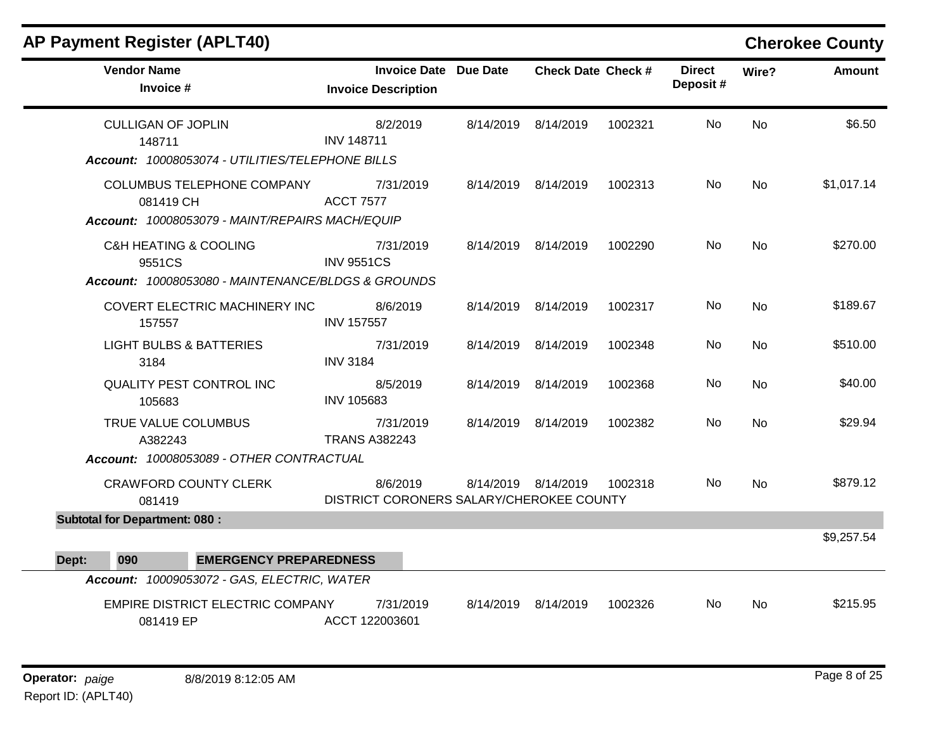| <b>Vendor Name</b><br>Invoice #                    | <b>Invoice Date Due Date</b><br><b>Invoice Description</b> | <b>Check Date Check #</b> |         | <b>Direct</b><br>Deposit# | Wire?     | Amount     |
|----------------------------------------------------|------------------------------------------------------------|---------------------------|---------|---------------------------|-----------|------------|
|                                                    |                                                            |                           |         |                           |           |            |
| <b>CULLIGAN OF JOPLIN</b>                          | 8/2/2019                                                   | 8/14/2019 8/14/2019       | 1002321 | No                        | <b>No</b> | \$6.50     |
| 148711                                             | <b>INV 148711</b>                                          |                           |         |                           |           |            |
| Account: 10008053074 - UTILITIES/TELEPHONE BILLS   |                                                            |                           |         |                           |           |            |
| COLUMBUS TELEPHONE COMPANY                         | 7/31/2019                                                  | 8/14/2019 8/14/2019       | 1002313 | No.                       | No        | \$1,017.14 |
| 081419 CH                                          | <b>ACCT 7577</b>                                           |                           |         |                           |           |            |
| Account: 10008053079 - MAINT/REPAIRS MACH/EQUIP    |                                                            |                           |         |                           |           |            |
| <b>C&amp;H HEATING &amp; COOLING</b>               | 7/31/2019                                                  | 8/14/2019 8/14/2019       | 1002290 | No.                       | <b>No</b> | \$270.00   |
| 9551CS                                             | <b>INV 9551CS</b>                                          |                           |         |                           |           |            |
| Account: 10008053080 - MAINTENANCE/BLDGS & GROUNDS |                                                            |                           |         |                           |           |            |
| COVERT ELECTRIC MACHINERY INC                      | 8/6/2019                                                   | 8/14/2019 8/14/2019       | 1002317 | No.                       | No        | \$189.67   |
| 157557                                             | <b>INV 157557</b>                                          |                           |         |                           |           |            |
| <b>LIGHT BULBS &amp; BATTERIES</b>                 | 7/31/2019                                                  | 8/14/2019 8/14/2019       | 1002348 | No.                       | No        | \$510.00   |
| 3184                                               | <b>INV 3184</b>                                            |                           |         |                           |           |            |
| QUALITY PEST CONTROL INC                           | 8/5/2019                                                   | 8/14/2019 8/14/2019       | 1002368 | No                        | <b>No</b> | \$40.00    |
| 105683                                             | INV 105683                                                 |                           |         |                           |           |            |
| TRUE VALUE COLUMBUS                                | 7/31/2019                                                  | 8/14/2019 8/14/2019       | 1002382 | No.                       | No        | \$29.94    |
| A382243                                            | <b>TRANS A382243</b>                                       |                           |         |                           |           |            |
| Account: 10008053089 - OTHER CONTRACTUAL           |                                                            |                           |         |                           |           |            |
| <b>CRAWFORD COUNTY CLERK</b>                       | 8/6/2019                                                   | 8/14/2019 8/14/2019       | 1002318 | No.                       | No        | \$879.12   |
| 081419                                             | DISTRICT CORONERS SALARY/CHEROKEE COUNTY                   |                           |         |                           |           |            |
| <b>Subtotal for Department: 080:</b>               |                                                            |                           |         |                           |           |            |
|                                                    |                                                            |                           |         |                           |           | \$9,257.54 |
| 090<br><b>EMERGENCY PREPAREDNESS</b><br>Dept:      |                                                            |                           |         |                           |           |            |
| Account: 10009053072 - GAS, ELECTRIC, WATER        |                                                            |                           |         |                           |           |            |
| EMPIRE DISTRICT ELECTRIC COMPANY                   | 7/31/2019                                                  | 8/14/2019 8/14/2019       | 1002326 | No.                       | No        | \$215.95   |
| 081419 EP                                          | ACCT 122003601                                             |                           |         |                           |           |            |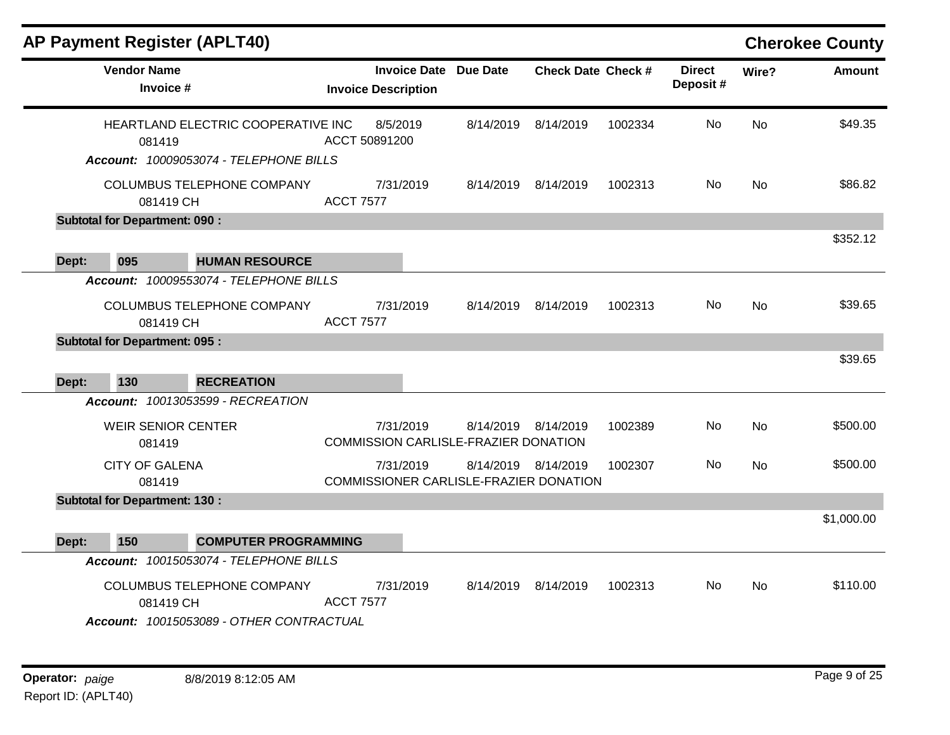|       | <b>AP Payment Register (APLT40)</b>  |                                          |                            |                     |                                                               |                           |         |                           |           | <b>Cherokee County</b> |
|-------|--------------------------------------|------------------------------------------|----------------------------|---------------------|---------------------------------------------------------------|---------------------------|---------|---------------------------|-----------|------------------------|
|       | <b>Vendor Name</b><br>Invoice #      |                                          | <b>Invoice Description</b> | <b>Invoice Date</b> | Due Date                                                      | <b>Check Date Check #</b> |         | <b>Direct</b><br>Deposit# | Wire?     | <b>Amount</b>          |
|       | 081419                               | HEARTLAND ELECTRIC COOPERATIVE INC       | ACCT 50891200              | 8/5/2019            | 8/14/2019                                                     | 8/14/2019                 | 1002334 | No                        | <b>No</b> | \$49.35                |
|       |                                      | Account: 10009053074 - TELEPHONE BILLS   |                            |                     |                                                               |                           |         |                           |           |                        |
|       | 081419 CH                            | COLUMBUS TELEPHONE COMPANY               | <b>ACCT 7577</b>           | 7/31/2019           | 8/14/2019 8/14/2019                                           |                           | 1002313 | No.                       | No        | \$86.82                |
|       | <b>Subtotal for Department: 090:</b> |                                          |                            |                     |                                                               |                           |         |                           |           |                        |
|       |                                      |                                          |                            |                     |                                                               |                           |         |                           |           | \$352.12               |
| Dept: | 095                                  | <b>HUMAN RESOURCE</b>                    |                            |                     |                                                               |                           |         |                           |           |                        |
|       |                                      | Account: 10009553074 - TELEPHONE BILLS   |                            |                     |                                                               |                           |         |                           |           |                        |
|       |                                      | COLUMBUS TELEPHONE COMPANY               |                            | 7/31/2019           | 8/14/2019                                                     | 8/14/2019                 | 1002313 | No.                       | <b>No</b> | \$39.65                |
|       | 081419 CH                            |                                          | <b>ACCT 7577</b>           |                     |                                                               |                           |         |                           |           |                        |
|       | <b>Subtotal for Department: 095:</b> |                                          |                            |                     |                                                               |                           |         |                           |           |                        |
|       |                                      |                                          |                            |                     |                                                               |                           |         |                           |           | \$39.65                |
| Dept: | 130                                  | <b>RECREATION</b>                        |                            |                     |                                                               |                           |         |                           |           |                        |
|       |                                      | <b>Account: 10013053599 - RECREATION</b> |                            |                     |                                                               |                           |         |                           |           |                        |
|       | <b>WEIR SENIOR CENTER</b>            |                                          |                            | 7/31/2019           | 8/14/2019                                                     | 8/14/2019                 | 1002389 | No                        | <b>No</b> | \$500.00               |
|       | 081419                               |                                          |                            |                     | <b>COMMISSION CARLISLE-FRAZIER DONATION</b>                   |                           |         |                           |           |                        |
|       | <b>CITY OF GALENA</b><br>081419      |                                          |                            | 7/31/2019           | 8/14/2019 8/14/2019<br>COMMISSIONER CARLISLE-FRAZIER DONATION |                           | 1002307 | No                        | <b>No</b> | \$500.00               |
|       | <b>Subtotal for Department: 130:</b> |                                          |                            |                     |                                                               |                           |         |                           |           |                        |
|       |                                      |                                          |                            |                     |                                                               |                           |         |                           |           | \$1,000.00             |
| Dept: | 150                                  | <b>COMPUTER PROGRAMMING</b>              |                            |                     |                                                               |                           |         |                           |           |                        |
|       |                                      | Account: 10015053074 - TELEPHONE BILLS   |                            |                     |                                                               |                           |         |                           |           |                        |
|       | 081419 CH                            | COLUMBUS TELEPHONE COMPANY               | <b>ACCT 7577</b>           | 7/31/2019           | 8/14/2019                                                     | 8/14/2019                 | 1002313 | No.                       | <b>No</b> | \$110.00               |
|       |                                      | Account: 10015053089 - OTHER CONTRACTUAL |                            |                     |                                                               |                           |         |                           |           |                        |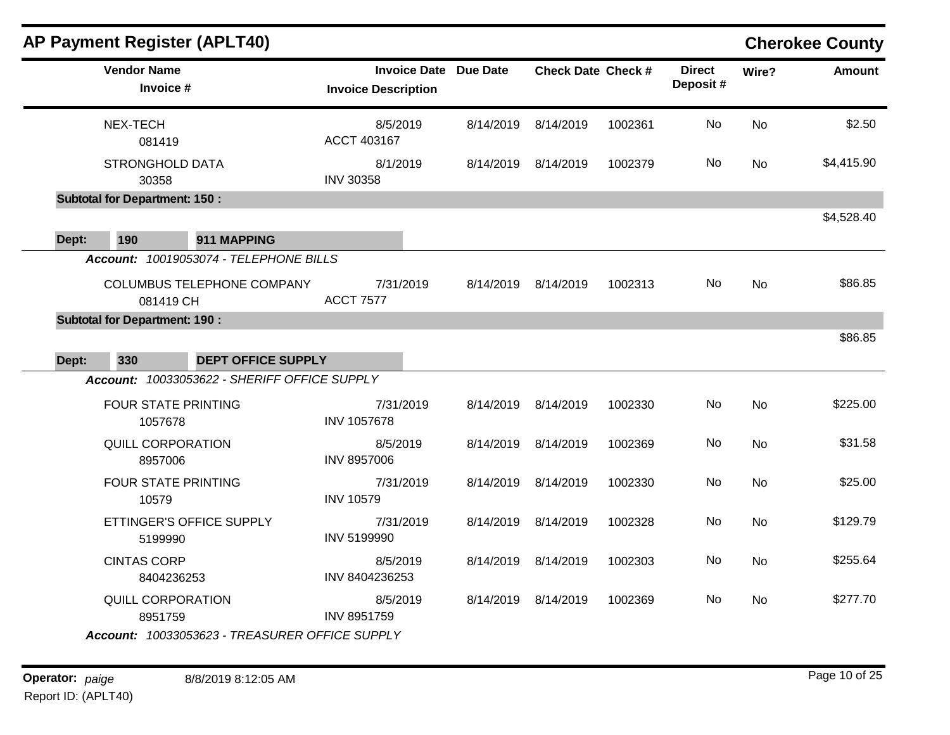| <b>AP Payment Register (APLT40)</b>                                               |                                                            |           |                           |         |                           |           | <b>Cherokee County</b> |
|-----------------------------------------------------------------------------------|------------------------------------------------------------|-----------|---------------------------|---------|---------------------------|-----------|------------------------|
| <b>Vendor Name</b><br>Invoice #                                                   | <b>Invoice Date Due Date</b><br><b>Invoice Description</b> |           | <b>Check Date Check #</b> |         | <b>Direct</b><br>Deposit# | Wire?     | <b>Amount</b>          |
| NEX-TECH<br>081419                                                                | 8/5/2019<br>ACCT 403167                                    | 8/14/2019 | 8/14/2019                 | 1002361 | No                        | <b>No</b> | \$2.50                 |
| <b>STRONGHOLD DATA</b><br>30358                                                   | 8/1/2019<br><b>INV 30358</b>                               |           | 8/14/2019 8/14/2019       | 1002379 | No                        | No        | \$4,415.90             |
| <b>Subtotal for Department: 150:</b>                                              |                                                            |           |                           |         |                           |           |                        |
| 190<br>911 MAPPING<br>Dept:                                                       |                                                            |           |                           |         |                           |           | \$4,528.40             |
| Account: 10019053074 - TELEPHONE BILLS<br>COLUMBUS TELEPHONE COMPANY<br>081419 CH | 7/31/2019<br><b>ACCT 7577</b>                              | 8/14/2019 | 8/14/2019                 | 1002313 | No                        | No        | \$86.85                |
| <b>Subtotal for Department: 190 :</b>                                             |                                                            |           |                           |         |                           |           |                        |
| Dept:<br>330<br><b>DEPT OFFICE SUPPLY</b>                                         |                                                            |           |                           |         |                           |           | \$86.85                |
| Account: 10033053622 - SHERIFF OFFICE SUPPLY                                      |                                                            |           |                           |         |                           |           |                        |
| FOUR STATE PRINTING<br>1057678                                                    | 7/31/2019<br><b>INV 1057678</b>                            |           | 8/14/2019 8/14/2019       | 1002330 | No                        | <b>No</b> | \$225.00               |
| QUILL CORPORATION<br>8957006                                                      | 8/5/2019<br><b>INV 8957006</b>                             | 8/14/2019 | 8/14/2019                 | 1002369 | No                        | <b>No</b> | \$31.58                |
| <b>FOUR STATE PRINTING</b><br>10579                                               | 7/31/2019<br><b>INV 10579</b>                              | 8/14/2019 | 8/14/2019                 | 1002330 | No.                       | <b>No</b> | \$25.00                |
| ETTINGER'S OFFICE SUPPLY<br>5199990                                               | 7/31/2019<br>INV 5199990                                   | 8/14/2019 | 8/14/2019                 | 1002328 | No                        | No        | \$129.79               |
| <b>CINTAS CORP</b><br>8404236253                                                  | 8/5/2019<br>INV 8404236253                                 |           | 8/14/2019 8/14/2019       | 1002303 | No                        | <b>No</b> | \$255.64               |
| <b>QUILL CORPORATION</b><br>8951759                                               | 8/5/2019<br>INV 8951759                                    |           | 8/14/2019 8/14/2019       | 1002369 | No                        | <b>No</b> | \$277.70               |
| Account: 10033053623 - TREASURER OFFICE SUPPLY                                    |                                                            |           |                           |         |                           |           |                        |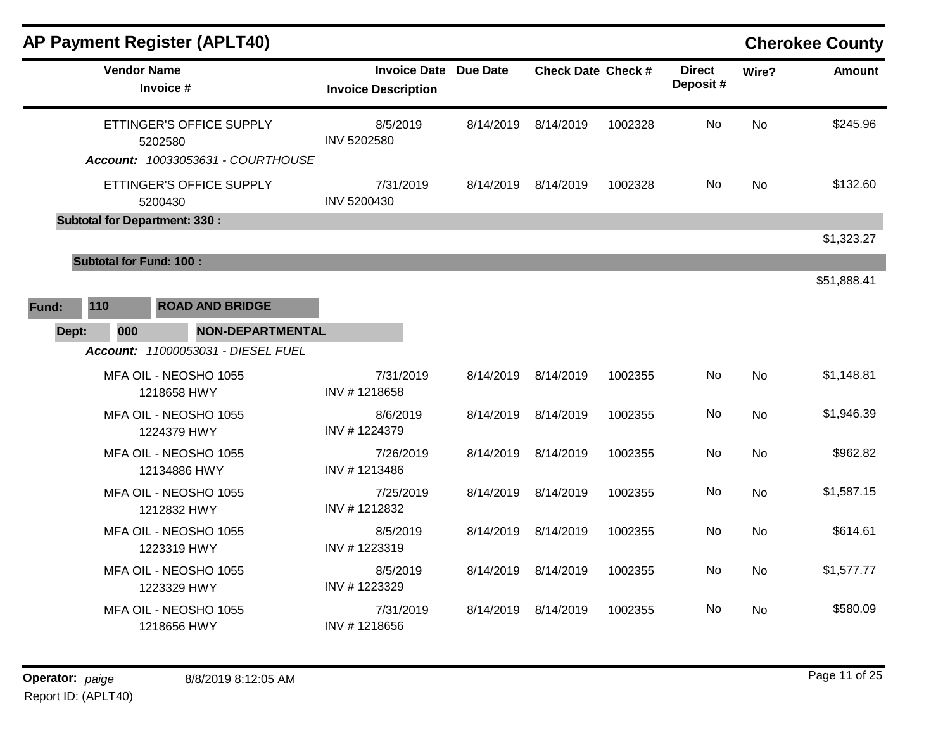|       | <b>AP Payment Register (APLT40)</b> |                                                                          |                                                            |           |                           |         |                           |           | <b>Cherokee County</b> |
|-------|-------------------------------------|--------------------------------------------------------------------------|------------------------------------------------------------|-----------|---------------------------|---------|---------------------------|-----------|------------------------|
|       |                                     | <b>Vendor Name</b><br>Invoice #                                          | <b>Invoice Date Due Date</b><br><b>Invoice Description</b> |           | <b>Check Date Check #</b> |         | <b>Direct</b><br>Deposit# | Wire?     | <b>Amount</b>          |
|       |                                     | ETTINGER'S OFFICE SUPPLY<br>5202580<br>Account: 10033053631 - COURTHOUSE | 8/5/2019<br>INV 5202580                                    | 8/14/2019 | 8/14/2019                 | 1002328 | No                        | <b>No</b> | \$245.96               |
|       |                                     | ETTINGER'S OFFICE SUPPLY<br>5200430                                      | 7/31/2019<br>INV 5200430                                   |           | 8/14/2019 8/14/2019       | 1002328 | No.                       | <b>No</b> | \$132.60               |
|       |                                     | <b>Subtotal for Department: 330:</b>                                     |                                                            |           |                           |         |                           |           |                        |
|       |                                     |                                                                          |                                                            |           |                           |         |                           |           | \$1,323.27             |
|       | <b>Subtotal for Fund: 100:</b>      |                                                                          |                                                            |           |                           |         |                           |           |                        |
| Fund: | 110                                 | <b>ROAD AND BRIDGE</b>                                                   |                                                            |           |                           |         |                           |           | \$51,888.41            |
| Dept: | 000                                 | <b>NON-DEPARTMENTAL</b>                                                  |                                                            |           |                           |         |                           |           |                        |
|       |                                     | Account: 11000053031 - DIESEL FUEL                                       |                                                            |           |                           |         |                           |           |                        |
|       |                                     | MFA OIL - NEOSHO 1055<br>1218658 HWY                                     | 7/31/2019<br>INV #1218658                                  |           | 8/14/2019 8/14/2019       | 1002355 | No                        | <b>No</b> | \$1,148.81             |
|       |                                     | MFA OIL - NEOSHO 1055<br>1224379 HWY                                     | 8/6/2019<br>INV #1224379                                   | 8/14/2019 | 8/14/2019                 | 1002355 | No.                       | <b>No</b> | \$1,946.39             |
|       |                                     | MFA OIL - NEOSHO 1055<br>12134886 HWY                                    | 7/26/2019<br>INV #1213486                                  | 8/14/2019 | 8/14/2019                 | 1002355 | No.                       | <b>No</b> | \$962.82               |
|       |                                     | MFA OIL - NEOSHO 1055<br>1212832 HWY                                     | 7/25/2019<br>INV #1212832                                  | 8/14/2019 | 8/14/2019                 | 1002355 | No.                       | <b>No</b> | \$1,587.15             |
|       |                                     | MFA OIL - NEOSHO 1055<br>1223319 HWY                                     | 8/5/2019<br>INV #1223319                                   |           | 8/14/2019 8/14/2019       | 1002355 | No.                       | No.       | \$614.61               |
|       |                                     | MFA OIL - NEOSHO 1055<br>1223329 HWY                                     | 8/5/2019<br>INV #1223329                                   | 8/14/2019 | 8/14/2019                 | 1002355 | No.                       | <b>No</b> | \$1,577.77             |
|       |                                     | MFA OIL - NEOSHO 1055<br>1218656 HWY                                     | 7/31/2019<br>INV #1218656                                  |           | 8/14/2019 8/14/2019       | 1002355 | No.                       | <b>No</b> | \$580.09               |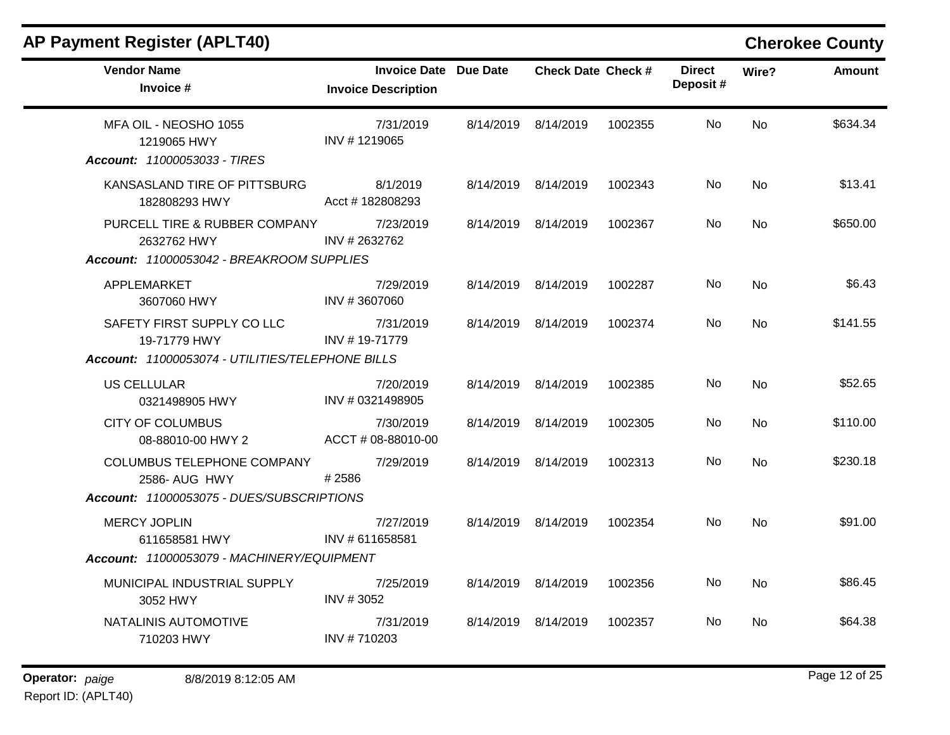| <b>Vendor Name</b><br>Invoice #                                                           | <b>Invoice Date Due Date</b><br><b>Invoice Description</b> | <b>Check Date Check #</b> |         | <b>Direct</b><br>Deposit# | Wire?     | Amount   |
|-------------------------------------------------------------------------------------------|------------------------------------------------------------|---------------------------|---------|---------------------------|-----------|----------|
| MFA OIL - NEOSHO 1055<br>1219065 HWY<br>Account: 11000053033 - TIRES                      | 7/31/2019<br>INV #1219065                                  | 8/14/2019 8/14/2019       | 1002355 | No.                       | No.       | \$634.34 |
| KANSASLAND TIRE OF PITTSBURG<br>182808293 HWY                                             | 8/1/2019<br>Acct #182808293                                | 8/14/2019 8/14/2019       | 1002343 | No.                       | <b>No</b> | \$13.41  |
| PURCELL TIRE & RUBBER COMPANY<br>2632762 HWY<br>Account: 11000053042 - BREAKROOM SUPPLIES | 7/23/2019<br>INV # 2632762                                 | 8/14/2019 8/14/2019       | 1002367 | No.                       | <b>No</b> | \$650.00 |
| APPLEMARKET<br>3607060 HWY                                                                | 7/29/2019<br>INV #3607060                                  | 8/14/2019 8/14/2019       | 1002287 | No.                       | <b>No</b> | \$6.43   |
| SAFETY FIRST SUPPLY CO LLC<br>19-71779 HWY                                                | 7/31/2019<br>INV #19-71779                                 | 8/14/2019 8/14/2019       | 1002374 | No.                       | <b>No</b> | \$141.55 |
| Account: 11000053074 - UTILITIES/TELEPHONE BILLS                                          |                                                            |                           |         |                           |           |          |
| <b>US CELLULAR</b><br>0321498905 HWY                                                      | 7/20/2019<br>INV # 0321498905                              | 8/14/2019 8/14/2019       | 1002385 | No                        | <b>No</b> | \$52.65  |
| <b>CITY OF COLUMBUS</b><br>08-88010-00 HWY 2                                              | 7/30/2019<br>ACCT # 08-88010-00                            | 8/14/2019 8/14/2019       | 1002305 | No.                       | <b>No</b> | \$110.00 |
| COLUMBUS TELEPHONE COMPANY<br>2586- AUG HWY                                               | 7/29/2019<br>#2586                                         | 8/14/2019 8/14/2019       | 1002313 | No.                       | <b>No</b> | \$230.18 |
| Account: 11000053075 - DUES/SUBSCRIPTIONS                                                 |                                                            |                           |         |                           |           |          |
| <b>MERCY JOPLIN</b><br>611658581 HWY                                                      | 7/27/2019<br>INV #611658581                                | 8/14/2019 8/14/2019       | 1002354 | No.                       | <b>No</b> | \$91.00  |
| Account: 11000053079 - MACHINERY/EQUIPMENT                                                |                                                            |                           |         |                           |           |          |
| MUNICIPAL INDUSTRIAL SUPPLY<br>3052 HWY                                                   | 7/25/2019<br>INV #3052                                     | 8/14/2019 8/14/2019       | 1002356 | No.                       | <b>No</b> | \$86.45  |
| NATALINIS AUTOMOTIVE<br>710203 HWY                                                        | 7/31/2019<br>INV #710203                                   | 8/14/2019 8/14/2019       | 1002357 | No.                       | <b>No</b> | \$64.38  |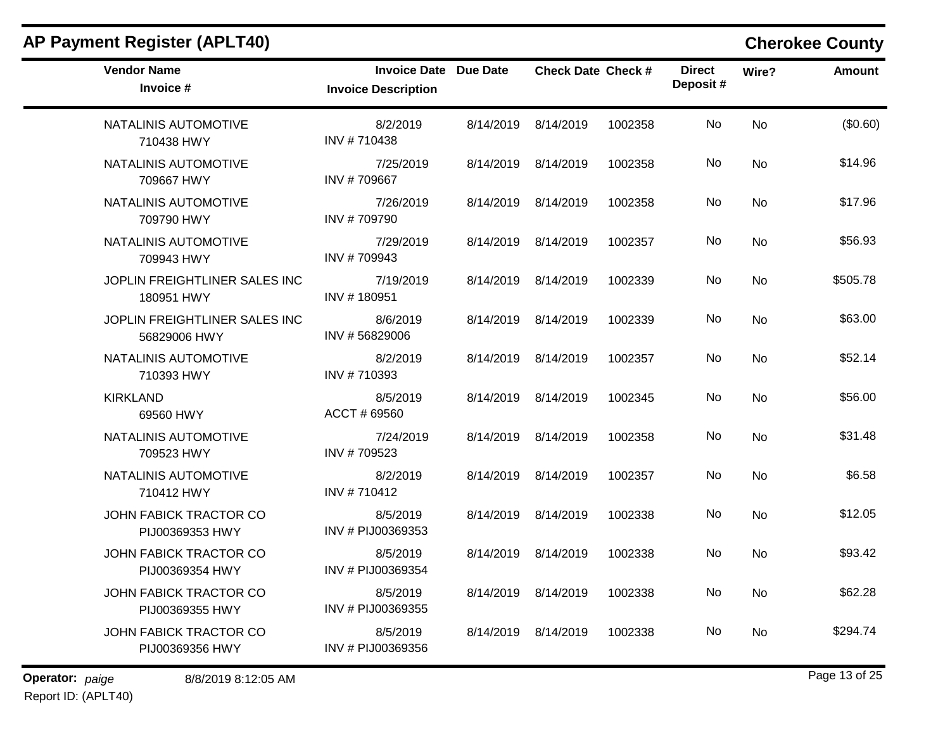| <b>Vendor Name</b><br>Invoice #               | <b>Invoice Date Due Date</b><br><b>Invoice Description</b> |                     | <b>Check Date Check #</b> |         | <b>Direct</b><br>Deposit# | Wire?          | <b>Amount</b> |
|-----------------------------------------------|------------------------------------------------------------|---------------------|---------------------------|---------|---------------------------|----------------|---------------|
| NATALINIS AUTOMOTIVE<br>710438 HWY            | 8/2/2019<br>INV #710438                                    | 8/14/2019           | 8/14/2019                 | 1002358 | No.                       | <b>No</b>      | (\$0.60)      |
| NATALINIS AUTOMOTIVE<br>709667 HWY            | 7/25/2019<br>INV #709667                                   | 8/14/2019 8/14/2019 |                           | 1002358 | No.                       | N <sub>o</sub> | \$14.96       |
| NATALINIS AUTOMOTIVE<br>709790 HWY            | 7/26/2019<br>INV #709790                                   | 8/14/2019 8/14/2019 |                           | 1002358 | No                        | <b>No</b>      | \$17.96       |
| NATALINIS AUTOMOTIVE<br>709943 HWY            | 7/29/2019<br>INV #709943                                   | 8/14/2019           | 8/14/2019                 | 1002357 | No                        | No             | \$56.93       |
| JOPLIN FREIGHTLINER SALES INC<br>180951 HWY   | 7/19/2019<br>INV #180951                                   | 8/14/2019 8/14/2019 |                           | 1002339 | No.                       | N <sub>o</sub> | \$505.78      |
| JOPLIN FREIGHTLINER SALES INC<br>56829006 HWY | 8/6/2019<br>INV #56829006                                  | 8/14/2019           | 8/14/2019                 | 1002339 | No                        | <b>No</b>      | \$63.00       |
| NATALINIS AUTOMOTIVE<br>710393 HWY            | 8/2/2019<br>INV #710393                                    | 8/14/2019 8/14/2019 |                           | 1002357 | No.                       | N <sub>o</sub> | \$52.14       |
| <b>KIRKLAND</b><br>69560 HWY                  | 8/5/2019<br>ACCT # 69560                                   | 8/14/2019           | 8/14/2019                 | 1002345 | No.                       | <b>No</b>      | \$56.00       |
| NATALINIS AUTOMOTIVE<br>709523 HWY            | 7/24/2019<br>INV #709523                                   | 8/14/2019           | 8/14/2019                 | 1002358 | No                        | <b>No</b>      | \$31.48       |
| NATALINIS AUTOMOTIVE<br>710412 HWY            | 8/2/2019<br>INV #710412                                    | 8/14/2019 8/14/2019 |                           | 1002357 | No.                       | N <sub>o</sub> | \$6.58        |
| JOHN FABICK TRACTOR CO<br>PIJ00369353 HWY     | 8/5/2019<br>INV # PIJ00369353                              | 8/14/2019           | 8/14/2019                 | 1002338 | No                        | <b>No</b>      | \$12.05       |
| JOHN FABICK TRACTOR CO<br>PIJ00369354 HWY     | 8/5/2019<br>INV # PIJ00369354                              | 8/14/2019           | 8/14/2019                 | 1002338 | No                        | <b>No</b>      | \$93.42       |
| JOHN FABICK TRACTOR CO<br>PIJ00369355 HWY     | 8/5/2019<br>INV # PIJ00369355                              | 8/14/2019 8/14/2019 |                           | 1002338 | No.                       | No             | \$62.28       |
| JOHN FABICK TRACTOR CO<br>PIJ00369356 HWY     | 8/5/2019<br>INV # PIJ00369356                              | 8/14/2019           | 8/14/2019                 | 1002338 | No.                       | No.            | \$294.74      |

**Operator:** paige 8/8/2019 8:12:05 AM **Page 13 of 25** Report ID: (APLT40)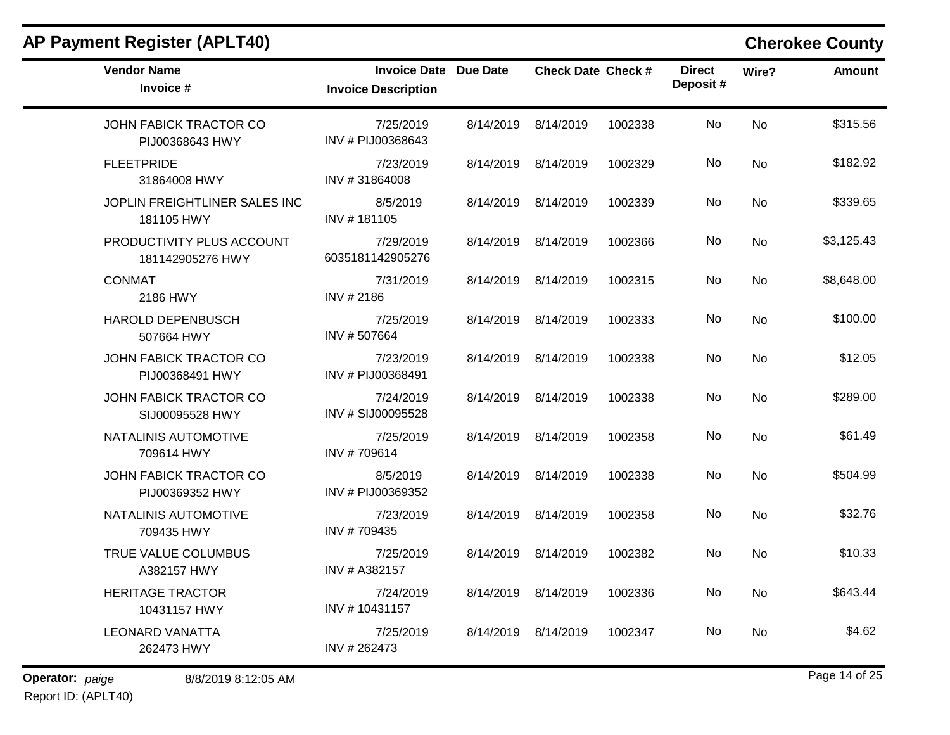| <b>Vendor Name</b><br>Invoice #                  | <b>Invoice Date Due Date</b><br><b>Invoice Description</b> | <b>Check Date Check #</b> |         | <b>Direct</b><br>Deposit# | Wire?          | Amount     |
|--------------------------------------------------|------------------------------------------------------------|---------------------------|---------|---------------------------|----------------|------------|
| JOHN FABICK TRACTOR CO<br>PIJ00368643 HWY        | 7/25/2019<br>INV # PIJ00368643                             | 8/14/2019 8/14/2019       | 1002338 | No.                       | <b>No</b>      | \$315.56   |
| <b>FLEETPRIDE</b><br>31864008 HWY                | 7/23/2019<br>INV #31864008                                 | 8/14/2019 8/14/2019       | 1002329 | No                        | <b>No</b>      | \$182.92   |
| JOPLIN FREIGHTLINER SALES INC<br>181105 HWY      | 8/5/2019<br>INV #181105                                    | 8/14/2019 8/14/2019       | 1002339 | No                        | <b>No</b>      | \$339.65   |
| PRODUCTIVITY PLUS ACCOUNT<br>181142905276 HWY    | 7/29/2019<br>6035181142905276                              | 8/14/2019 8/14/2019       | 1002366 | No                        | No             | \$3,125.43 |
| <b>CONMAT</b><br>2186 HWY                        | 7/31/2019<br>INV #2186                                     | 8/14/2019 8/14/2019       | 1002315 | No.                       | No             | \$8,648.00 |
| <b>HAROLD DEPENBUSCH</b><br>507664 HWY           | 7/25/2019<br>INV #507664                                   | 8/14/2019 8/14/2019       | 1002333 | No                        | <b>No</b>      | \$100.00   |
| JOHN FABICK TRACTOR CO<br>PIJ00368491 HWY        | 7/23/2019<br>INV # PIJ00368491                             | 8/14/2019 8/14/2019       | 1002338 | No                        | No             | \$12.05    |
| JOHN FABICK TRACTOR CO<br>SIJ00095528 HWY        | 7/24/2019<br>INV # SIJ00095528                             | 8/14/2019 8/14/2019       | 1002338 | No                        | <b>No</b>      | \$289.00   |
| NATALINIS AUTOMOTIVE<br>709614 HWY               | 7/25/2019<br>INV #709614                                   | 8/14/2019 8/14/2019       | 1002358 | No                        | <b>No</b>      | \$61.49    |
| <b>JOHN FABICK TRACTOR CO</b><br>PIJ00369352 HWY | 8/5/2019<br>INV # PIJ00369352                              | 8/14/2019 8/14/2019       | 1002338 | No.                       | N <sub>o</sub> | \$504.99   |
| NATALINIS AUTOMOTIVE<br>709435 HWY               | 7/23/2019<br>INV #709435                                   | 8/14/2019 8/14/2019       | 1002358 | No.                       | <b>No</b>      | \$32.76    |
| TRUE VALUE COLUMBUS<br>A382157 HWY               | 7/25/2019<br>INV # A382157                                 | 8/14/2019 8/14/2019       | 1002382 | No.                       | <b>No</b>      | \$10.33    |
| <b>HERITAGE TRACTOR</b><br>10431157 HWY          | 7/24/2019<br>INV #10431157                                 | 8/14/2019 8/14/2019       | 1002336 | No.                       | No             | \$643.44   |
| <b>LEONARD VANATTA</b><br>262473 HWY             | 7/25/2019<br>INV #262473                                   | 8/14/2019 8/14/2019       | 1002347 | No                        | No.            | \$4.62     |

**Operator:** paige 8/8/2019 8:12:05 AM Report ID: (APLT40)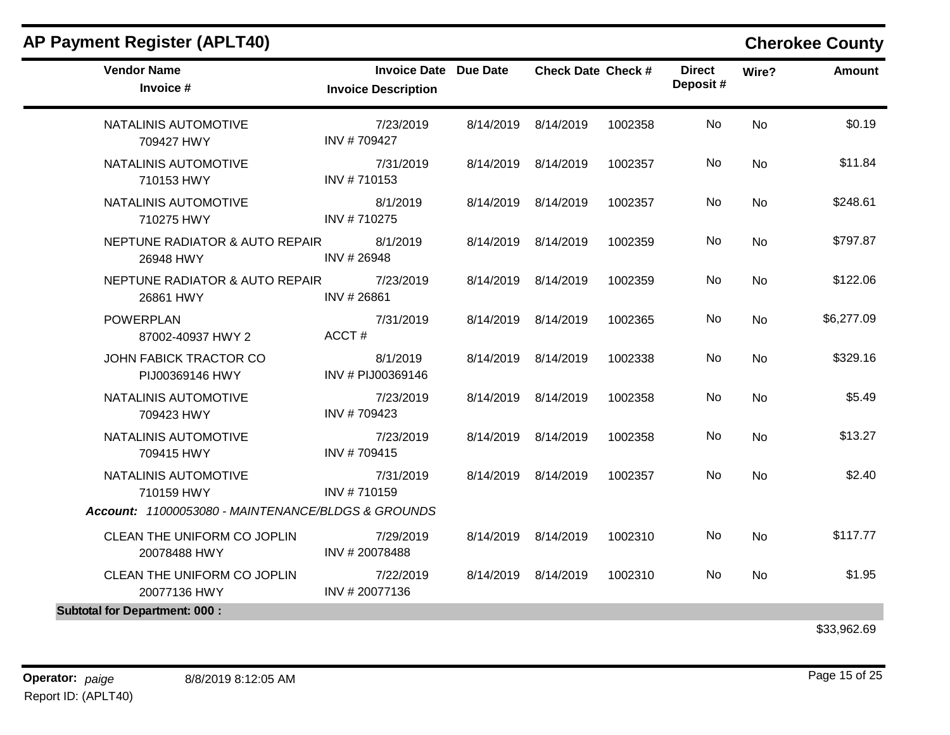| <b>Vendor Name</b><br>Invoice #                    | Invoice Date Due Date<br><b>Invoice Description</b> | <b>Check Date Check #</b> |         | <b>Direct</b><br>Deposit# | Wire?     | Amount     |
|----------------------------------------------------|-----------------------------------------------------|---------------------------|---------|---------------------------|-----------|------------|
| NATALINIS AUTOMOTIVE<br>709427 HWY                 | 7/23/2019<br>INV #709427                            | 8/14/2019 8/14/2019       | 1002358 | No                        | <b>No</b> | \$0.19     |
| NATALINIS AUTOMOTIVE<br>710153 HWY                 | 7/31/2019<br>INV #710153                            | 8/14/2019 8/14/2019       | 1002357 | No                        | <b>No</b> | \$11.84    |
| NATALINIS AUTOMOTIVE<br>710275 HWY                 | 8/1/2019<br>INV #710275                             | 8/14/2019 8/14/2019       | 1002357 | No.                       | <b>No</b> | \$248.61   |
| NEPTUNE RADIATOR & AUTO REPAIR<br>26948 HWY        | 8/1/2019<br>INV #26948                              | 8/14/2019 8/14/2019       | 1002359 | No                        | <b>No</b> | \$797.87   |
| NEPTUNE RADIATOR & AUTO REPAIR<br>26861 HWY        | 7/23/2019<br>INV #26861                             | 8/14/2019 8/14/2019       | 1002359 | No                        | <b>No</b> | \$122.06   |
| <b>POWERPLAN</b><br>87002-40937 HWY 2              | 7/31/2019<br>ACCT#                                  | 8/14/2019 8/14/2019       | 1002365 | No                        | <b>No</b> | \$6,277.09 |
| JOHN FABICK TRACTOR CO<br>PIJ00369146 HWY          | 8/1/2019<br>INV # PIJ00369146                       | 8/14/2019 8/14/2019       | 1002338 | No                        | No        | \$329.16   |
| NATALINIS AUTOMOTIVE<br>709423 HWY                 | 7/23/2019<br>INV #709423                            | 8/14/2019 8/14/2019       | 1002358 | No                        | <b>No</b> | \$5.49     |
| NATALINIS AUTOMOTIVE<br>709415 HWY                 | 7/23/2019<br>INV #709415                            | 8/14/2019 8/14/2019       | 1002358 | No.                       | <b>No</b> | \$13.27    |
| NATALINIS AUTOMOTIVE<br>710159 HWY                 | 7/31/2019<br>INV #710159                            | 8/14/2019 8/14/2019       | 1002357 | No.                       | <b>No</b> | \$2.40     |
| Account: 11000053080 - MAINTENANCE/BLDGS & GROUNDS |                                                     |                           |         |                           |           |            |
| CLEAN THE UNIFORM CO JOPLIN<br>20078488 HWY        | 7/29/2019<br>INV #20078488                          | 8/14/2019 8/14/2019       | 1002310 | No.                       | <b>No</b> | \$117.77   |
| CLEAN THE UNIFORM CO JOPLIN<br>20077136 HWY        | 7/22/2019<br>INV #20077136                          | 8/14/2019 8/14/2019       | 1002310 | No                        | No        | \$1.95     |
| <b>Subtotal for Department: 000:</b>               |                                                     |                           |         |                           |           |            |

\$33,962.69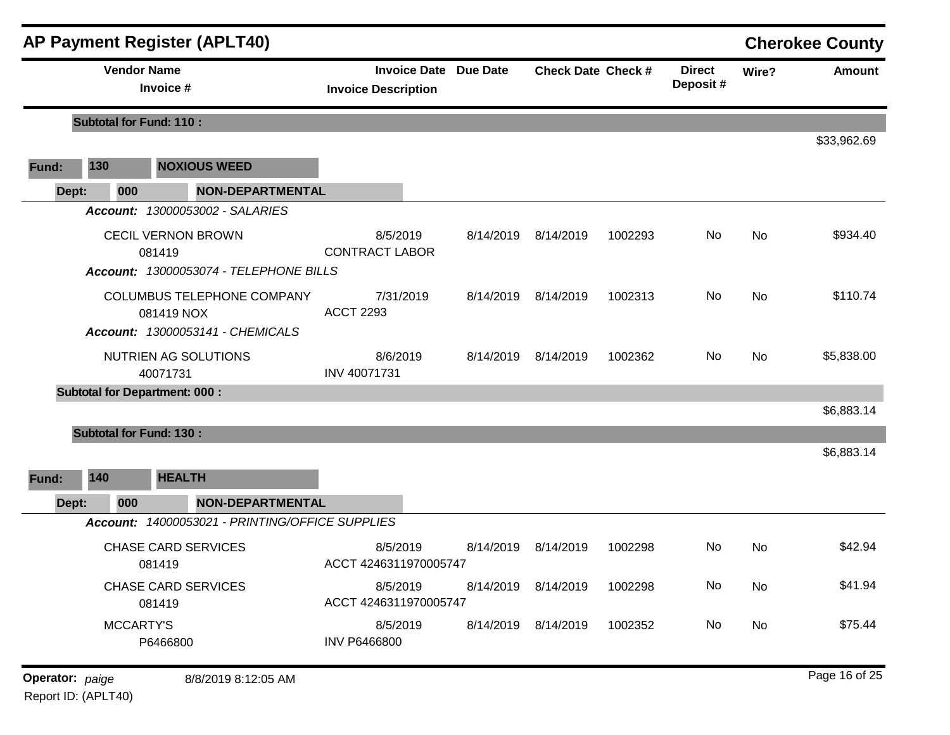|                 |                                                                               | <b>AP Payment Register (APLT40)</b>             |                                                            |           |                           |         |                           |           | <b>Cherokee County</b> |
|-----------------|-------------------------------------------------------------------------------|-------------------------------------------------|------------------------------------------------------------|-----------|---------------------------|---------|---------------------------|-----------|------------------------|
|                 | <b>Vendor Name</b>                                                            | Invoice #                                       | <b>Invoice Date Due Date</b><br><b>Invoice Description</b> |           | <b>Check Date Check #</b> |         | <b>Direct</b><br>Deposit# | Wire?     | <b>Amount</b>          |
|                 | <b>Subtotal for Fund: 110:</b>                                                |                                                 |                                                            |           |                           |         |                           |           |                        |
| Fund:           | 130                                                                           | <b>NOXIOUS WEED</b>                             |                                                            |           |                           |         |                           |           | \$33,962.69            |
| Dept:           | 000                                                                           | <b>NON-DEPARTMENTAL</b>                         |                                                            |           |                           |         |                           |           |                        |
|                 |                                                                               | Account: 13000053002 - SALARIES                 |                                                            |           |                           |         |                           |           |                        |
|                 | <b>CECIL VERNON BROWN</b><br>081419<br>Account: 13000053074 - TELEPHONE BILLS |                                                 | 8/5/2019<br><b>CONTRACT LABOR</b>                          | 8/14/2019 | 8/14/2019                 | 1002293 | No                        | No        | \$934.40               |
|                 | COLUMBUS TELEPHONE COMPANY<br>081419 NOX<br>Account: 13000053141 - CHEMICALS  |                                                 | 7/31/2019<br><b>ACCT 2293</b>                              |           | 8/14/2019 8/14/2019       | 1002313 | No                        | No        | \$110.74               |
|                 |                                                                               | NUTRIEN AG SOLUTIONS<br>40071731                | 8/6/2019<br>INV 40071731                                   | 8/14/2019 | 8/14/2019                 | 1002362 | No.                       | No        | \$5,838.00             |
|                 |                                                                               | <b>Subtotal for Department: 000:</b>            |                                                            |           |                           |         |                           |           |                        |
|                 |                                                                               |                                                 |                                                            |           |                           |         |                           |           | \$6,883.14             |
| Fund:<br>Dept:  | <b>Subtotal for Fund: 130:</b><br>140<br>000                                  | <b>HEALTH</b><br><b>NON-DEPARTMENTAL</b>        |                                                            |           |                           |         |                           |           | \$6,883.14             |
|                 |                                                                               | Account: 14000053021 - PRINTING/OFFICE SUPPLIES |                                                            |           |                           |         |                           |           |                        |
|                 |                                                                               | <b>CHASE CARD SERVICES</b><br>081419            | 8/5/2019<br>ACCT 4246311970005747                          | 8/14/2019 | 8/14/2019                 | 1002298 | No.                       | No        | \$42.94                |
|                 | <b>CHASE CARD SERVICES</b><br>081419                                          |                                                 | 8/5/2019<br>ACCT 4246311970005747                          |           | 8/14/2019 8/14/2019       | 1002298 | No                        | <b>No</b> | \$41.94                |
|                 | MCCARTY'S<br>P6466800                                                         |                                                 | 8/5/2019<br><b>INV P6466800</b>                            |           | 8/14/2019 8/14/2019       | 1002352 | No                        | No        | \$75.44                |
| Operator: paige |                                                                               | 8/8/2019 8:12:05 AM                             |                                                            |           |                           |         |                           |           | Page 16 of 25          |

Report ID: (APLT40)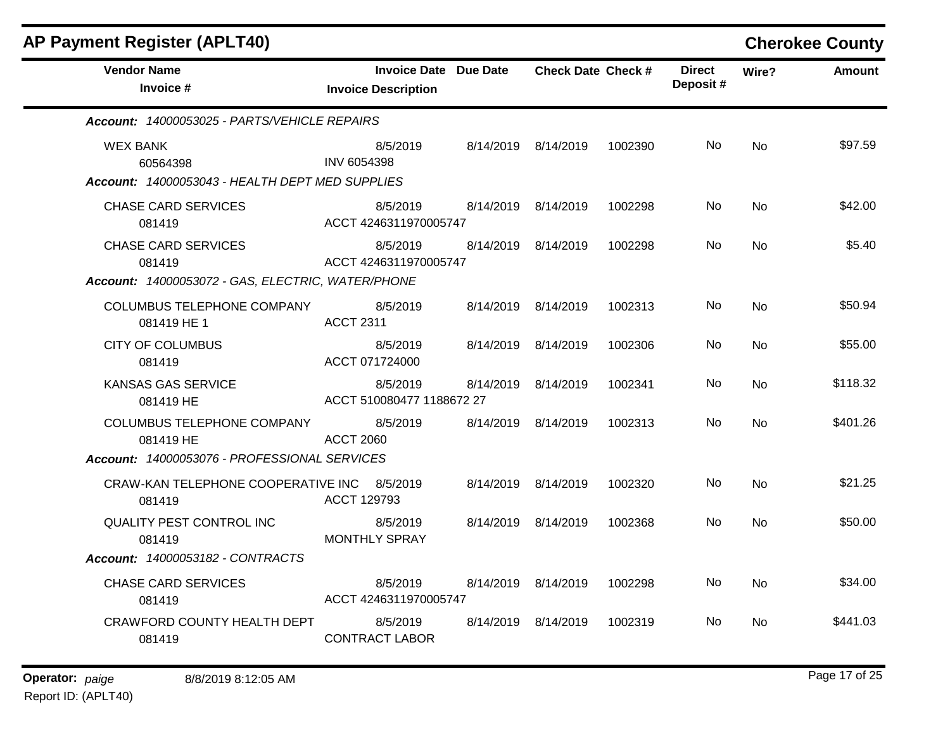| <b>AP Payment Register (APLT40)</b>                                                       |                                                            |           |                           |         |                           |           | <b>Cherokee County</b> |
|-------------------------------------------------------------------------------------------|------------------------------------------------------------|-----------|---------------------------|---------|---------------------------|-----------|------------------------|
| <b>Vendor Name</b><br>Invoice #                                                           | <b>Invoice Date Due Date</b><br><b>Invoice Description</b> |           | <b>Check Date Check #</b> |         | <b>Direct</b><br>Deposit# | Wire?     | <b>Amount</b>          |
| Account: 14000053025 - PARTS/VEHICLE REPAIRS                                              |                                                            |           |                           |         |                           |           |                        |
| <b>WEX BANK</b><br>60564398<br>Account: 14000053043 - HEALTH DEPT MED SUPPLIES            | 8/5/2019<br>INV 6054398                                    |           | 8/14/2019 8/14/2019       | 1002390 | No.                       | <b>No</b> | \$97.59                |
| <b>CHASE CARD SERVICES</b><br>081419                                                      | 8/5/2019<br>ACCT 4246311970005747                          |           | 8/14/2019 8/14/2019       | 1002298 | No                        | <b>No</b> | \$42.00                |
| <b>CHASE CARD SERVICES</b><br>081419<br>Account: 14000053072 - GAS, ELECTRIC, WATER/PHONE | 8/5/2019<br>ACCT 4246311970005747                          |           | 8/14/2019 8/14/2019       | 1002298 | No.                       | No.       | \$5.40                 |
| <b>COLUMBUS TELEPHONE COMPANY</b><br>081419 HE 1                                          | 8/5/2019<br><b>ACCT 2311</b>                               |           | 8/14/2019 8/14/2019       | 1002313 | No                        | <b>No</b> | \$50.94                |
| <b>CITY OF COLUMBUS</b><br>081419                                                         | 8/5/2019<br>ACCT 071724000                                 |           | 8/14/2019 8/14/2019       | 1002306 | No.                       | No.       | \$55.00                |
| <b>KANSAS GAS SERVICE</b><br>081419 HE                                                    | 8/5/2019<br>ACCT 510080477 1188672 27                      | 8/14/2019 | 8/14/2019                 | 1002341 | No.                       | No        | \$118.32               |
| COLUMBUS TELEPHONE COMPANY<br>081419 HE                                                   | 8/5/2019<br><b>ACCT 2060</b>                               | 8/14/2019 | 8/14/2019                 | 1002313 | No.                       | <b>No</b> | \$401.26               |
| Account: 14000053076 - PROFESSIONAL SERVICES                                              |                                                            |           |                           |         |                           |           |                        |
| CRAW-KAN TELEPHONE COOPERATIVE INC<br>081419                                              | 8/5/2019<br>ACCT 129793                                    |           | 8/14/2019 8/14/2019       | 1002320 | No.                       | <b>No</b> | \$21.25                |
| <b>QUALITY PEST CONTROL INC</b><br>081419                                                 | 8/5/2019<br><b>MONTHLY SPRAY</b>                           |           | 8/14/2019 8/14/2019       | 1002368 | No.                       | <b>No</b> | \$50.00                |
| Account: 14000053182 - CONTRACTS                                                          |                                                            |           |                           |         |                           |           |                        |
| <b>CHASE CARD SERVICES</b><br>081419                                                      | 8/5/2019<br>ACCT 4246311970005747                          |           | 8/14/2019 8/14/2019       | 1002298 | No.                       | <b>No</b> | \$34.00                |
| CRAWFORD COUNTY HEALTH DEPT<br>081419                                                     | 8/5/2019<br><b>CONTRACT LABOR</b>                          | 8/14/2019 | 8/14/2019                 | 1002319 | No.                       | No        | \$441.03               |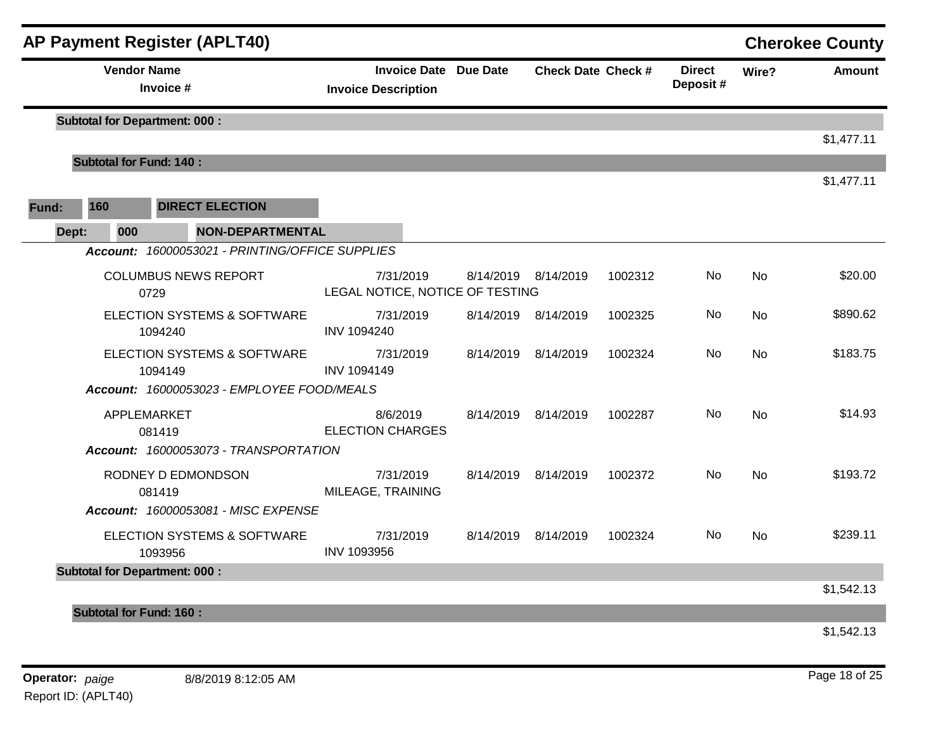|       |                                | <b>AP Payment Register (APLT40)</b>             |                                                            |                     |                           |         |                           |           | <b>Cherokee County</b> |
|-------|--------------------------------|-------------------------------------------------|------------------------------------------------------------|---------------------|---------------------------|---------|---------------------------|-----------|------------------------|
|       |                                | <b>Vendor Name</b><br>Invoice #                 | <b>Invoice Date Due Date</b><br><b>Invoice Description</b> |                     | <b>Check Date Check #</b> |         | <b>Direct</b><br>Deposit# | Wire?     | <b>Amount</b>          |
|       |                                | <b>Subtotal for Department: 000:</b>            |                                                            |                     |                           |         |                           |           |                        |
|       |                                |                                                 |                                                            |                     |                           |         |                           |           | \$1,477.11             |
|       | <b>Subtotal for Fund: 140:</b> |                                                 |                                                            |                     |                           |         |                           |           | \$1,477.11             |
| Fund: | 160                            | <b>DIRECT ELECTION</b>                          |                                                            |                     |                           |         |                           |           |                        |
| Dept: | 000                            | <b>NON-DEPARTMENTAL</b>                         |                                                            |                     |                           |         |                           |           |                        |
|       |                                | Account: 16000053021 - PRINTING/OFFICE SUPPLIES |                                                            |                     |                           |         |                           |           |                        |
|       |                                | <b>COLUMBUS NEWS REPORT</b><br>0729             | 7/31/2019<br>LEGAL NOTICE, NOTICE OF TESTING               | 8/14/2019 8/14/2019 |                           | 1002312 | No                        | <b>No</b> | \$20.00                |
|       |                                | ELECTION SYSTEMS & SOFTWARE<br>1094240          | 7/31/2019<br>INV 1094240                                   | 8/14/2019 8/14/2019 |                           | 1002325 | <b>No</b>                 | <b>No</b> | \$890.62               |
|       |                                | ELECTION SYSTEMS & SOFTWARE<br>1094149          | 7/31/2019<br><b>INV 1094149</b>                            | 8/14/2019 8/14/2019 |                           | 1002324 | No                        | No        | \$183.75               |
|       |                                | Account: 16000053023 - EMPLOYEE FOOD/MEALS      |                                                            |                     |                           |         |                           |           |                        |
|       |                                | APPLEMARKET<br>081419                           | 8/6/2019<br><b>ELECTION CHARGES</b>                        | 8/14/2019 8/14/2019 |                           | 1002287 | No                        | <b>No</b> | \$14.93                |
|       |                                | Account: 16000053073 - TRANSPORTATION           |                                                            |                     |                           |         |                           |           |                        |
|       |                                | RODNEY D EDMONDSON<br>081419                    | 7/31/2019<br>MILEAGE, TRAINING                             | 8/14/2019 8/14/2019 |                           | 1002372 | No                        | <b>No</b> | \$193.72               |
|       |                                | Account: 16000053081 - MISC EXPENSE             |                                                            |                     |                           |         |                           |           |                        |
|       |                                | ELECTION SYSTEMS & SOFTWARE<br>1093956          | 7/31/2019<br>INV 1093956                                   | 8/14/2019 8/14/2019 |                           | 1002324 | No                        | No        | \$239.11               |
|       |                                | <b>Subtotal for Department: 000:</b>            |                                                            |                     |                           |         |                           |           | \$1,542.13             |
|       |                                |                                                 |                                                            |                     |                           |         |                           |           |                        |
|       | <b>Subtotal for Fund: 160:</b> |                                                 |                                                            |                     |                           |         |                           |           |                        |

\$1,542.13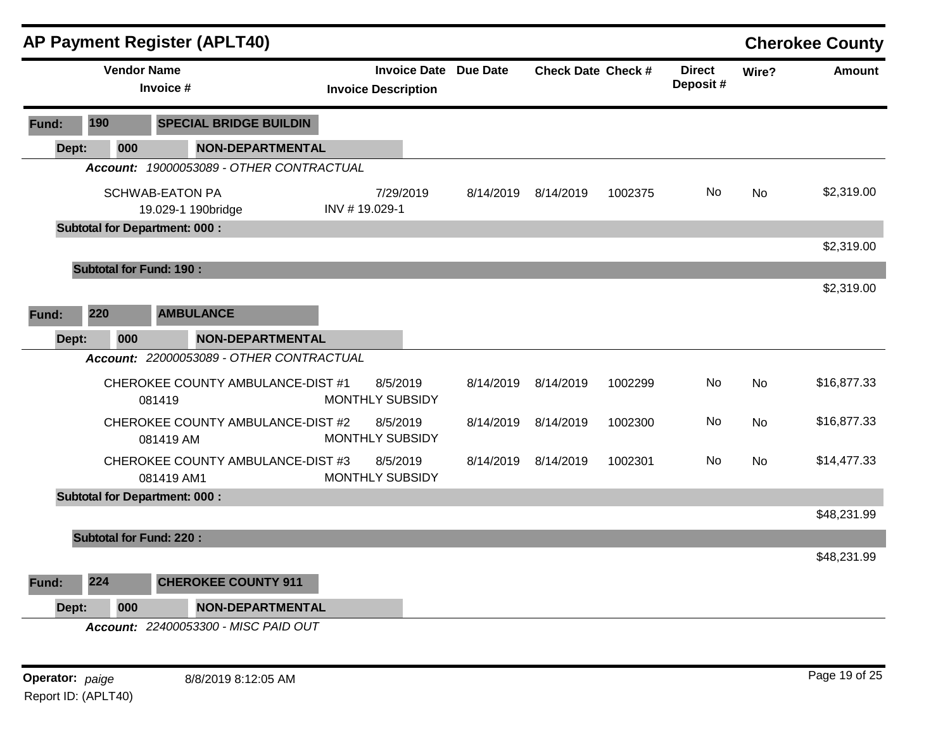|       |     | AP Payment Register (APLT40)                    |               |                                                            |           |                           |         |                           |           | <b>Cherokee County</b> |
|-------|-----|-------------------------------------------------|---------------|------------------------------------------------------------|-----------|---------------------------|---------|---------------------------|-----------|------------------------|
|       |     | <b>Vendor Name</b><br>Invoice #                 |               | <b>Invoice Date Due Date</b><br><b>Invoice Description</b> |           | <b>Check Date Check #</b> |         | <b>Direct</b><br>Deposit# | Wire?     | <b>Amount</b>          |
| Fund: | 190 | <b>SPECIAL BRIDGE BUILDIN</b>                   |               |                                                            |           |                           |         |                           |           |                        |
| Dept: | 000 | <b>NON-DEPARTMENTAL</b>                         |               |                                                            |           |                           |         |                           |           |                        |
|       |     | Account: 19000053089 - OTHER CONTRACTUAL        |               |                                                            |           |                           |         |                           |           |                        |
|       |     | <b>SCHWAB-EATON PA</b><br>19.029-1 190bridge    | INV #19.029-1 | 7/29/2019                                                  | 8/14/2019 | 8/14/2019                 | 1002375 | No                        | <b>No</b> | \$2,319.00             |
|       |     | <b>Subtotal for Department: 000:</b>            |               |                                                            |           |                           |         |                           |           |                        |
|       |     |                                                 |               |                                                            |           |                           |         |                           |           | \$2,319.00             |
|       |     | <b>Subtotal for Fund: 190:</b>                  |               |                                                            |           |                           |         |                           |           |                        |
|       |     |                                                 |               |                                                            |           |                           |         |                           |           | \$2,319.00             |
| Fund: | 220 | <b>AMBULANCE</b>                                |               |                                                            |           |                           |         |                           |           |                        |
| Dept: | 000 | <b>NON-DEPARTMENTAL</b>                         |               |                                                            |           |                           |         |                           |           |                        |
|       |     | Account: 22000053089 - OTHER CONTRACTUAL        |               |                                                            |           |                           |         |                           |           |                        |
|       |     | CHEROKEE COUNTY AMBULANCE-DIST #1<br>081419     |               | 8/5/2019<br><b>MONTHLY SUBSIDY</b>                         | 8/14/2019 | 8/14/2019                 | 1002299 | No                        | No        | \$16,877.33            |
|       |     | CHEROKEE COUNTY AMBULANCE-DIST #2<br>081419 AM  |               | 8/5/2019<br>MONTHLY SUBSIDY                                | 8/14/2019 | 8/14/2019                 | 1002300 | No                        | <b>No</b> | \$16,877.33            |
|       |     | CHEROKEE COUNTY AMBULANCE-DIST #3<br>081419 AM1 |               | 8/5/2019<br>MONTHLY SUBSIDY                                | 8/14/2019 | 8/14/2019                 | 1002301 | No.                       | <b>No</b> | \$14,477.33            |
|       |     | <b>Subtotal for Department: 000:</b>            |               |                                                            |           |                           |         |                           |           |                        |
|       |     |                                                 |               |                                                            |           |                           |         |                           |           | \$48,231.99            |
|       |     | <b>Subtotal for Fund: 220:</b>                  |               |                                                            |           |                           |         |                           |           |                        |
|       |     |                                                 |               |                                                            |           |                           |         |                           |           | \$48,231.99            |
| Fund: | 224 | <b>CHEROKEE COUNTY 911</b>                      |               |                                                            |           |                           |         |                           |           |                        |
| Dept: | 000 | <b>NON-DEPARTMENTAL</b>                         |               |                                                            |           |                           |         |                           |           |                        |
|       |     | <b>Account: 22400053300 - MISC PAID OUT</b>     |               |                                                            |           |                           |         |                           |           |                        |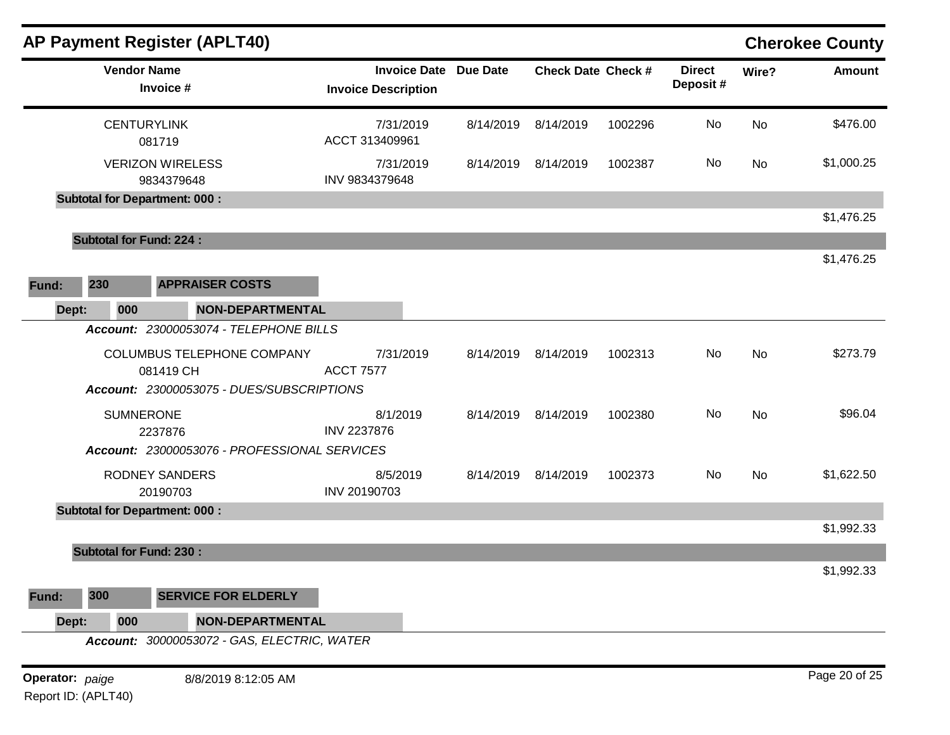|                 |                    | <b>AP Payment Register (APLT40)</b>           |                                                   |                 |                           |         |                           |           | <b>Cherokee County</b> |
|-----------------|--------------------|-----------------------------------------------|---------------------------------------------------|-----------------|---------------------------|---------|---------------------------|-----------|------------------------|
|                 | <b>Vendor Name</b> | Invoice #                                     | <b>Invoice Date</b><br><b>Invoice Description</b> | <b>Due Date</b> | <b>Check Date Check #</b> |         | <b>Direct</b><br>Deposit# | Wire?     | <b>Amount</b>          |
|                 | <b>CENTURYLINK</b> | 081719                                        | 7/31/2019<br>ACCT 313409961                       | 8/14/2019       | 8/14/2019                 | 1002296 | No                        | No        | \$476.00               |
|                 |                    | <b>VERIZON WIRELESS</b><br>9834379648         | 7/31/2019<br>INV 9834379648                       | 8/14/2019       | 8/14/2019                 | 1002387 | No                        | <b>No</b> | \$1,000.25             |
|                 |                    | <b>Subtotal for Department: 000:</b>          |                                                   |                 |                           |         |                           |           | \$1,476.25             |
|                 |                    | <b>Subtotal for Fund: 224:</b>                |                                                   |                 |                           |         |                           |           |                        |
| Fund:           | 230                | <b>APPRAISER COSTS</b>                        |                                                   |                 |                           |         |                           |           | \$1,476.25             |
| Dept:           | 000                | <b>NON-DEPARTMENTAL</b>                       |                                                   |                 |                           |         |                           |           |                        |
|                 |                    | <b>Account: 23000053074 - TELEPHONE BILLS</b> |                                                   |                 |                           |         |                           |           |                        |
|                 |                    | COLUMBUS TELEPHONE COMPANY<br>081419 CH       | 7/31/2019<br><b>ACCT 7577</b>                     | 8/14/2019       | 8/14/2019                 | 1002313 | No                        | No        | \$273.79               |
|                 |                    | Account: 23000053075 - DUES/SUBSCRIPTIONS     |                                                   |                 |                           |         |                           |           |                        |
|                 | <b>SUMNERONE</b>   | 2237876                                       | 8/1/2019<br>INV 2237876                           |                 | 8/14/2019 8/14/2019       | 1002380 | No                        | <b>No</b> | \$96.04                |
|                 |                    | Account: 23000053076 - PROFESSIONAL SERVICES  |                                                   |                 |                           |         |                           |           |                        |
|                 |                    | <b>RODNEY SANDERS</b><br>20190703             | 8/5/2019<br>INV 20190703                          |                 | 8/14/2019 8/14/2019       | 1002373 | No                        | <b>No</b> | \$1,622.50             |
|                 |                    | <b>Subtotal for Department: 000:</b>          |                                                   |                 |                           |         |                           |           |                        |
|                 |                    | <b>Subtotal for Fund: 230:</b>                |                                                   |                 |                           |         |                           |           | \$1,992.33             |
|                 |                    |                                               |                                                   |                 |                           |         |                           |           | \$1,992.33             |
| Fund:           | 300                | <b>SERVICE FOR ELDERLY</b>                    |                                                   |                 |                           |         |                           |           |                        |
| Dept:           | 000                | <b>NON-DEPARTMENTAL</b>                       |                                                   |                 |                           |         |                           |           |                        |
|                 |                    | Account: 30000053072 - GAS, ELECTRIC, WATER   |                                                   |                 |                           |         |                           |           |                        |
| Operator: paige |                    | 8/8/2019 8:12:05 AM                           |                                                   |                 |                           |         |                           |           | Page 20 of 25          |

Report ID: (APLT40)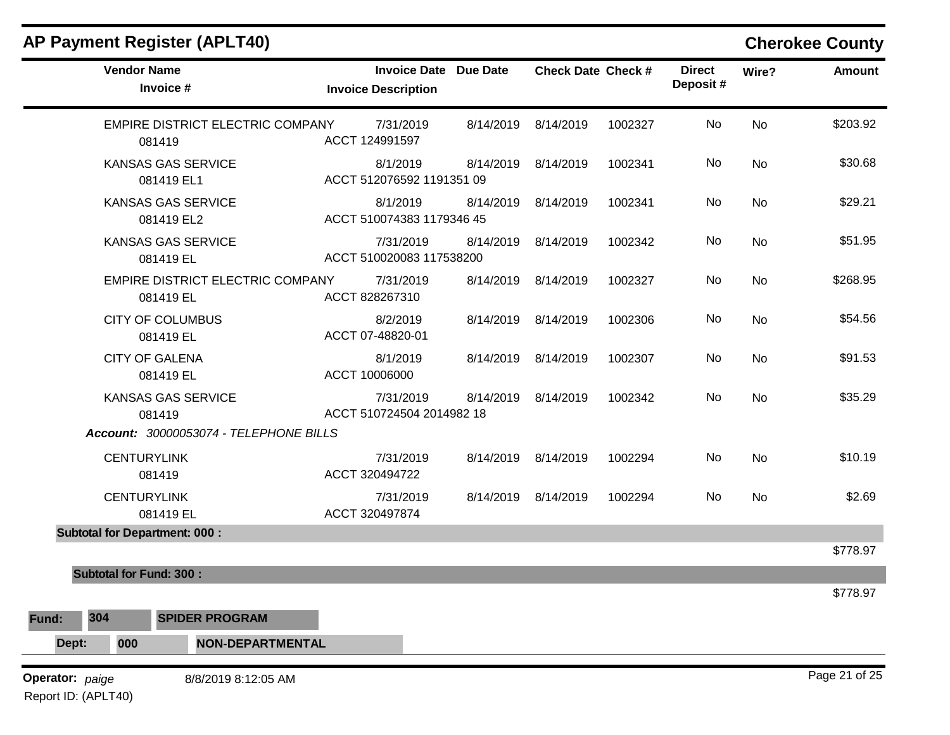|  |  |  | <b>AP Payment Register (APLT40)</b> |
|--|--|--|-------------------------------------|
|--|--|--|-------------------------------------|

# **Cherokee County**

| <b>Vendor Name</b><br>Invoice #                                               | <b>Invoice Date Due Date</b><br><b>Invoice Description</b> |           | <b>Check Date Check #</b> |         | <b>Direct</b><br>Deposit# | Wire?     | <b>Amount</b> |
|-------------------------------------------------------------------------------|------------------------------------------------------------|-----------|---------------------------|---------|---------------------------|-----------|---------------|
| EMPIRE DISTRICT ELECTRIC COMPANY<br>081419                                    | 7/31/2019<br>ACCT 124991597                                | 8/14/2019 | 8/14/2019                 | 1002327 | No                        | <b>No</b> | \$203.92      |
| <b>KANSAS GAS SERVICE</b><br>081419 EL1                                       | 8/1/2019<br>ACCT 512076592 1191351 09                      | 8/14/2019 | 8/14/2019                 | 1002341 | No                        | <b>No</b> | \$30.68       |
| <b>KANSAS GAS SERVICE</b><br>081419 EL2                                       | 8/1/2019<br>ACCT 510074383 1179346 45                      | 8/14/2019 | 8/14/2019                 | 1002341 | No                        | <b>No</b> | \$29.21       |
| <b>KANSAS GAS SERVICE</b><br>081419 EL                                        | 7/31/2019<br>ACCT 510020083 117538200                      | 8/14/2019 | 8/14/2019                 | 1002342 | No                        | <b>No</b> | \$51.95       |
| EMPIRE DISTRICT ELECTRIC COMPANY<br>081419 EL                                 | 7/31/2019<br>ACCT 828267310                                | 8/14/2019 | 8/14/2019                 | 1002327 | No                        | <b>No</b> | \$268.95      |
| <b>CITY OF COLUMBUS</b><br>081419 EL                                          | 8/2/2019<br>ACCT 07-48820-01                               | 8/14/2019 | 8/14/2019                 | 1002306 | No                        | <b>No</b> | \$54.56       |
| <b>CITY OF GALENA</b><br>081419 EL                                            | 8/1/2019<br>ACCT 10006000                                  | 8/14/2019 | 8/14/2019                 | 1002307 | No                        | <b>No</b> | \$91.53       |
| <b>KANSAS GAS SERVICE</b><br>081419<br>Account: 30000053074 - TELEPHONE BILLS | 7/31/2019<br>ACCT 510724504 2014982 18                     | 8/14/2019 | 8/14/2019                 | 1002342 | No                        | <b>No</b> | \$35.29       |
| <b>CENTURYLINK</b><br>081419                                                  | 7/31/2019<br>ACCT 320494722                                |           | 8/14/2019 8/14/2019       | 1002294 | No                        | <b>No</b> | \$10.19       |
| <b>CENTURYLINK</b><br>081419 EL                                               | 7/31/2019<br>ACCT 320497874                                |           | 8/14/2019 8/14/2019       | 1002294 | No                        | <b>No</b> | \$2.69        |
| <b>Subtotal for Department: 000:</b>                                          |                                                            |           |                           |         |                           |           | \$778.97      |
| <b>Subtotal for Fund: 300:</b>                                                |                                                            |           |                           |         |                           |           | \$778.97      |
| 304<br><b>SPIDER PROGRAM</b><br>Fund:                                         |                                                            |           |                           |         |                           |           |               |
| 000<br>NON-DEPARTMENTAL<br>Dept:                                              |                                                            |           |                           |         |                           |           |               |
| Operator: paige<br>8/8/2019 8:12:05 AM<br>Report ID: (APLT40)                 |                                                            |           |                           |         |                           |           | Page 21 of 25 |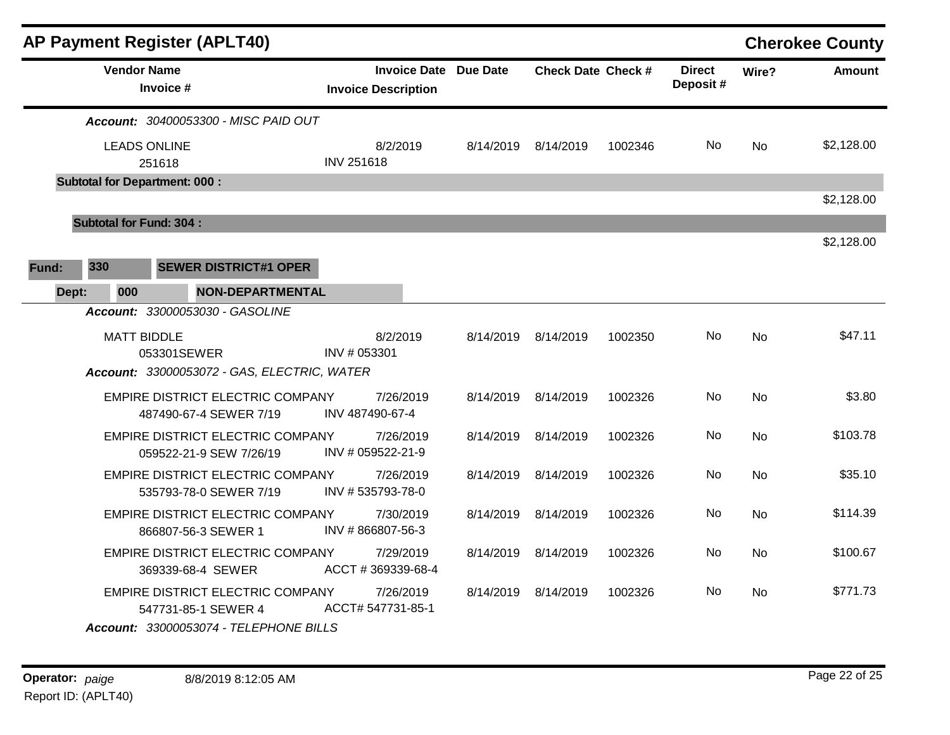|       |                                                                |                                | <b>AP Payment Register (APLT40)</b>                                |                                |                                                   |                 |                           |         |                           |           | <b>Cherokee County</b> |
|-------|----------------------------------------------------------------|--------------------------------|--------------------------------------------------------------------|--------------------------------|---------------------------------------------------|-----------------|---------------------------|---------|---------------------------|-----------|------------------------|
|       |                                                                | <b>Vendor Name</b>             | Invoice #                                                          |                                | <b>Invoice Date</b><br><b>Invoice Description</b> | <b>Due Date</b> | <b>Check Date Check #</b> |         | <b>Direct</b><br>Deposit# | Wire?     | <b>Amount</b>          |
|       |                                                                |                                | Account: 30400053300 - MISC PAID OUT                               |                                |                                                   |                 |                           |         |                           |           |                        |
|       |                                                                | <b>LEADS ONLINE</b>            | 251618                                                             | <b>INV 251618</b>              | 8/2/2019                                          | 8/14/2019       | 8/14/2019                 | 1002346 | No.                       | <b>No</b> | \$2,128.00             |
|       |                                                                |                                | <b>Subtotal for Department: 000:</b>                               |                                |                                                   |                 |                           |         |                           |           |                        |
|       |                                                                |                                |                                                                    |                                |                                                   |                 |                           |         |                           |           | \$2,128.00             |
|       |                                                                | <b>Subtotal for Fund: 304:</b> |                                                                    |                                |                                                   |                 |                           |         |                           |           | \$2,128.00             |
| Fund: | 330                                                            |                                | <b>SEWER DISTRICT#1 OPER</b>                                       |                                |                                                   |                 |                           |         |                           |           |                        |
|       |                                                                |                                |                                                                    |                                |                                                   |                 |                           |         |                           |           |                        |
| Dept: |                                                                | 000                            | NON-DEPARTMENTAL<br>Account: 33000053030 - GASOLINE                |                                |                                                   |                 |                           |         |                           |           |                        |
|       |                                                                |                                |                                                                    |                                | 8/2/2019                                          |                 |                           |         | No.                       |           | \$47.11                |
|       | <b>MATT BIDDLE</b><br>053301SEWER                              |                                | INV # 053301                                                       |                                | 8/14/2019                                         | 8/14/2019       | 1002350                   |         | No                        |           |                        |
|       |                                                                |                                | Account: 33000053072 - GAS, ELECTRIC, WATER                        |                                |                                                   |                 |                           |         |                           |           |                        |
|       |                                                                |                                | EMPIRE DISTRICT ELECTRIC COMPANY<br>487490-67-4 SEWER 7/19         |                                | 7/26/2019<br>INV 487490-67-4                      |                 | 8/14/2019 8/14/2019       | 1002326 | No.                       | <b>No</b> | \$3.80                 |
|       |                                                                |                                | <b>EMPIRE DISTRICT ELECTRIC COMPANY</b><br>059522-21-9 SEW 7/26/19 |                                | 7/26/2019<br>INV # 059522-21-9                    | 8/14/2019       | 8/14/2019                 | 1002326 | No.                       | <b>No</b> | \$103.78               |
|       |                                                                |                                | EMPIRE DISTRICT ELECTRIC COMPANY<br>535793-78-0 SEWER 7/19         |                                | 7/26/2019<br>INV #535793-78-0                     | 8/14/2019       | 8/14/2019                 | 1002326 | No                        | No        | \$35.10                |
|       |                                                                |                                | <b>EMPIRE DISTRICT ELECTRIC COMPANY</b><br>866807-56-3 SEWER 1     |                                | 7/30/2019<br>INV #866807-56-3                     | 8/14/2019       | 8/14/2019                 | 1002326 | No.                       | No        | \$114.39               |
|       |                                                                |                                | EMPIRE DISTRICT ELECTRIC COMPANY<br>369339-68-4 SEWER              |                                | 7/29/2019<br>ACCT #369339-68-4                    | 8/14/2019       | 8/14/2019                 | 1002326 | No.                       | No        | \$100.67               |
|       | <b>EMPIRE DISTRICT ELECTRIC COMPANY</b><br>547731-85-1 SEWER 4 |                                |                                                                    | 7/26/2019<br>ACCT# 547731-85-1 | 8/14/2019                                         | 8/14/2019       | 1002326                   | No.     | <b>No</b>                 | \$771.73  |                        |
|       |                                                                |                                | <b>Account: 33000053074 - TELEPHONE BILLS</b>                      |                                |                                                   |                 |                           |         |                           |           |                        |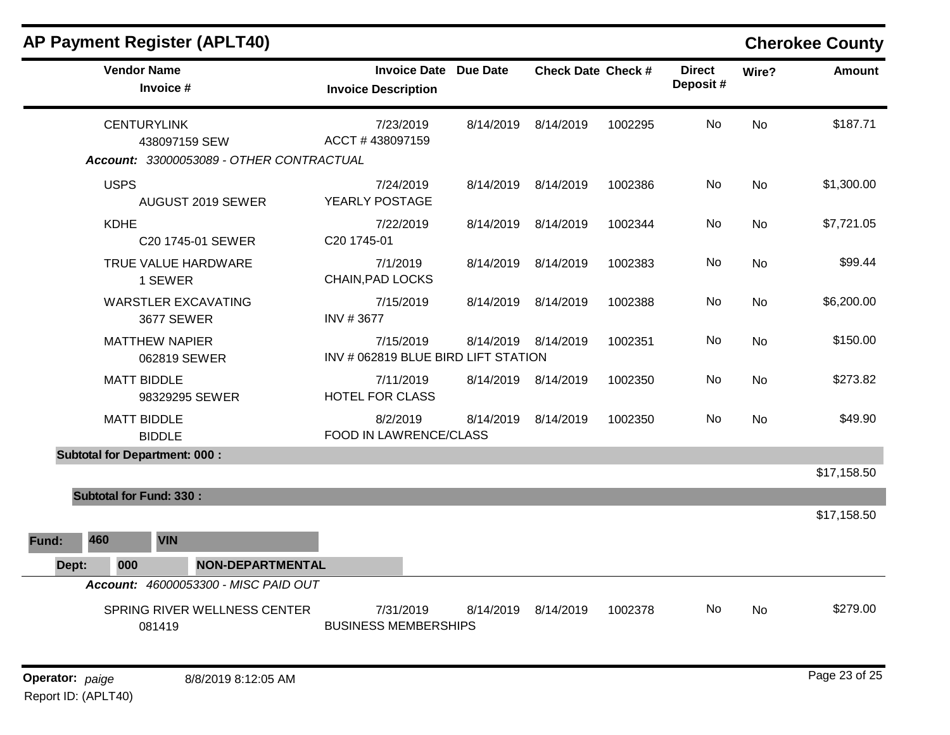| <b>AP Payment Register (APLT40)</b>             |                                                            |           |                           |         |                           |           | <b>Cherokee County</b> |
|-------------------------------------------------|------------------------------------------------------------|-----------|---------------------------|---------|---------------------------|-----------|------------------------|
| <b>Vendor Name</b><br>Invoice #                 | <b>Invoice Date Due Date</b><br><b>Invoice Description</b> |           | <b>Check Date Check #</b> |         | <b>Direct</b><br>Deposit# | Wire?     | Amount                 |
| <b>CENTURYLINK</b><br>438097159 SEW             | 7/23/2019<br>ACCT #438097159                               | 8/14/2019 | 8/14/2019                 | 1002295 | No.                       | <b>No</b> | \$187.71               |
| Account: 33000053089 - OTHER CONTRACTUAL        |                                                            |           |                           |         |                           |           |                        |
| <b>USPS</b><br>AUGUST 2019 SEWER                | 7/24/2019<br>YEARLY POSTAGE                                |           | 8/14/2019 8/14/2019       | 1002386 | No                        | <b>No</b> | \$1,300.00             |
| <b>KDHE</b><br>C20 1745-01 SEWER                | 7/22/2019<br>C20 1745-01                                   |           | 8/14/2019 8/14/2019       | 1002344 | No                        | No        | \$7,721.05             |
| TRUE VALUE HARDWARE<br>1 SEWER                  | 7/1/2019<br>CHAIN, PAD LOCKS                               | 8/14/2019 | 8/14/2019                 | 1002383 | No                        | No        | \$99.44                |
| <b>WARSTLER EXCAVATING</b><br><b>3677 SEWER</b> | 7/15/2019<br>INV #3677                                     | 8/14/2019 | 8/14/2019                 | 1002388 | No                        | <b>No</b> | \$6,200.00             |
| <b>MATTHEW NAPIER</b><br>062819 SEWER           | 7/15/2019<br>INV # 062819 BLUE BIRD LIFT STATION           |           | 8/14/2019 8/14/2019       | 1002351 | No                        | No        | \$150.00               |
| <b>MATT BIDDLE</b><br>98329295 SEWER            | 7/11/2019<br><b>HOTEL FOR CLASS</b>                        |           | 8/14/2019 8/14/2019       | 1002350 | No                        | <b>No</b> | \$273.82               |
| <b>MATT BIDDLE</b><br><b>BIDDLE</b>             | 8/2/2019<br>FOOD IN LAWRENCE/CLASS                         | 8/14/2019 | 8/14/2019                 | 1002350 | No.                       | No        | \$49.90                |
| <b>Subtotal for Department: 000:</b>            |                                                            |           |                           |         |                           |           |                        |
|                                                 |                                                            |           |                           |         |                           |           | \$17,158.50            |
| <b>Subtotal for Fund: 330:</b>                  |                                                            |           |                           |         |                           |           |                        |
|                                                 |                                                            |           |                           |         |                           |           | \$17,158.50            |
| 460<br><b>VIN</b><br>Fund:                      |                                                            |           |                           |         |                           |           |                        |
| <b>NON-DEPARTMENTAL</b><br>Dept:<br>000         |                                                            |           |                           |         |                           |           |                        |
| Account: 46000053300 - MISC PAID OUT            |                                                            |           |                           |         |                           |           |                        |
| SPRING RIVER WELLNESS CENTER<br>081419          | 7/31/2019<br><b>BUSINESS MEMBERSHIPS</b>                   | 8/14/2019 | 8/14/2019                 | 1002378 | No                        | No.       | \$279.00               |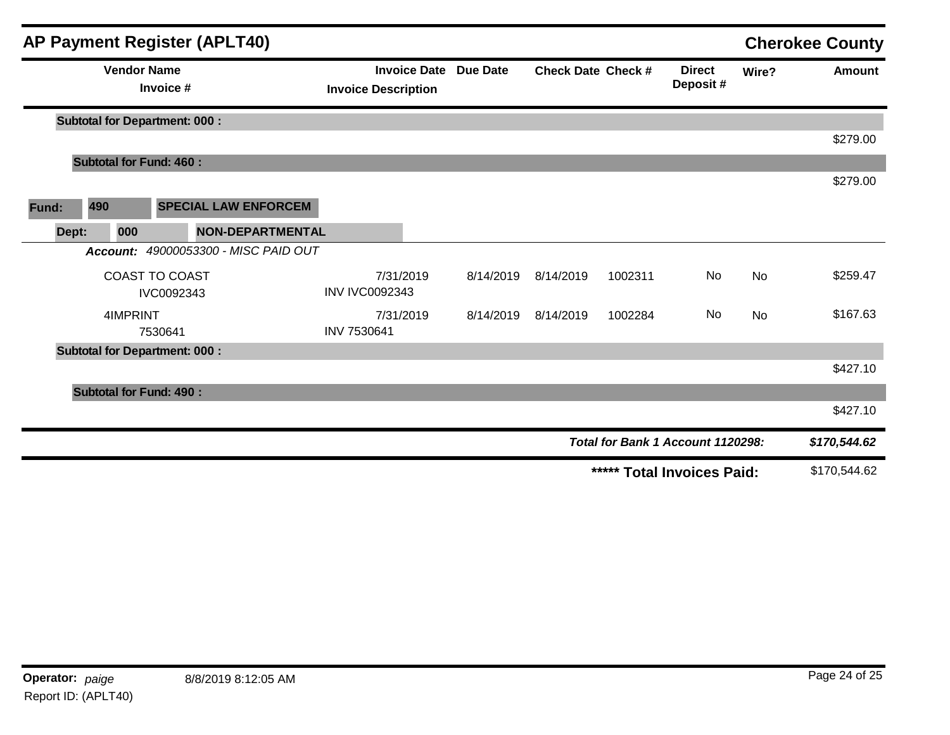|              |                    | <b>AP Payment Register (APLT40)</b>  |                                                   |           |                           |         |                                   |           | <b>Cherokee County</b> |
|--------------|--------------------|--------------------------------------|---------------------------------------------------|-----------|---------------------------|---------|-----------------------------------|-----------|------------------------|
|              | <b>Vendor Name</b> | Invoice #                            | <b>Invoice Date</b><br><b>Invoice Description</b> | Due Date  | <b>Check Date Check #</b> |         | <b>Direct</b><br>Deposit#         | Wire?     | <b>Amount</b>          |
|              |                    | <b>Subtotal for Department: 000:</b> |                                                   |           |                           |         |                                   |           |                        |
|              |                    |                                      |                                                   |           |                           |         |                                   |           | \$279.00               |
|              |                    | <b>Subtotal for Fund: 460:</b>       |                                                   |           |                           |         |                                   |           |                        |
|              |                    |                                      |                                                   |           |                           |         |                                   |           | \$279.00               |
| 490<br>Fund: |                    | <b>SPECIAL LAW ENFORCEM</b>          |                                                   |           |                           |         |                                   |           |                        |
| Dept:        | 000                | <b>NON-DEPARTMENTAL</b>              |                                                   |           |                           |         |                                   |           |                        |
|              |                    | Account: 49000053300 - MISC PAID OUT |                                                   |           |                           |         |                                   |           |                        |
|              |                    | <b>COAST TO COAST</b>                | 7/31/2019                                         | 8/14/2019 | 8/14/2019                 | 1002311 | No                                | <b>No</b> | \$259.47               |
|              |                    | IVC0092343                           | <b>INV IVC0092343</b>                             |           |                           |         |                                   |           |                        |
|              | 4IMPRINT           |                                      | 7/31/2019                                         | 8/14/2019 | 8/14/2019                 | 1002284 | No                                | <b>No</b> | \$167.63               |
|              |                    | 7530641                              | INV 7530641                                       |           |                           |         |                                   |           |                        |
|              |                    | <b>Subtotal for Department: 000:</b> |                                                   |           |                           |         |                                   |           |                        |
|              |                    |                                      |                                                   |           |                           |         |                                   |           | \$427.10               |
|              |                    | <b>Subtotal for Fund: 490:</b>       |                                                   |           |                           |         |                                   |           |                        |
|              |                    |                                      |                                                   |           |                           |         |                                   |           | \$427.10               |
|              |                    |                                      |                                                   |           |                           |         | Total for Bank 1 Account 1120298: |           | \$170,544.62           |
|              |                    |                                      |                                                   |           |                           |         | ***** Total Invoices Paid:        |           | \$170,544.62           |